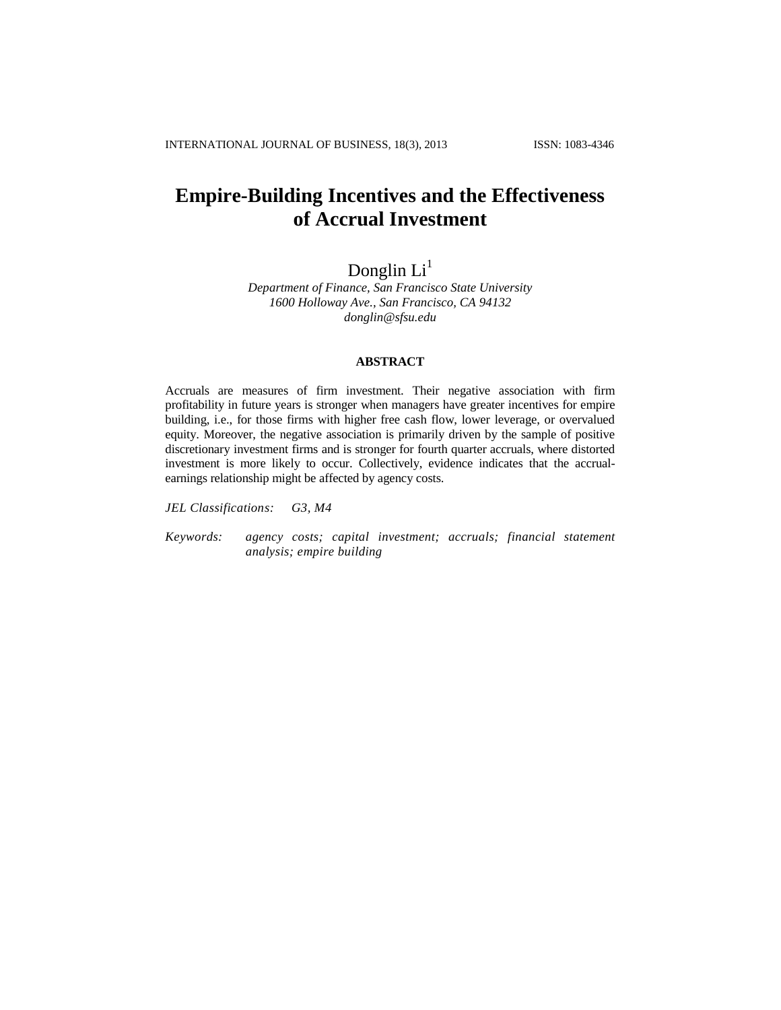## **Empire-Building Incentives and the Effectiveness of Accrual Investment**

# Donglin Li<sup>1</sup>

*Department of Finance, San Francisco State University 1600 Holloway Ave., San Francisco, CA 94132 [donglin@sfsu.edu](mailto:donglin@sfsu.edu)*

## **ABSTRACT**

Accruals are measures of firm investment. Their negative association with firm profitability in future years is stronger when managers have greater incentives for empire building, i.e., for those firms with higher free cash flow, lower leverage, or overvalued equity. Moreover, the negative association is primarily driven by the sample of positive discretionary investment firms and is stronger for fourth quarter accruals, where distorted investment is more likely to occur. Collectively, evidence indicates that the accrualearnings relationship might be affected by agency costs.

*JEL Classifications: G3, M4*

*Keywords: agency costs; capital investment; accruals; financial statement analysis; empire building*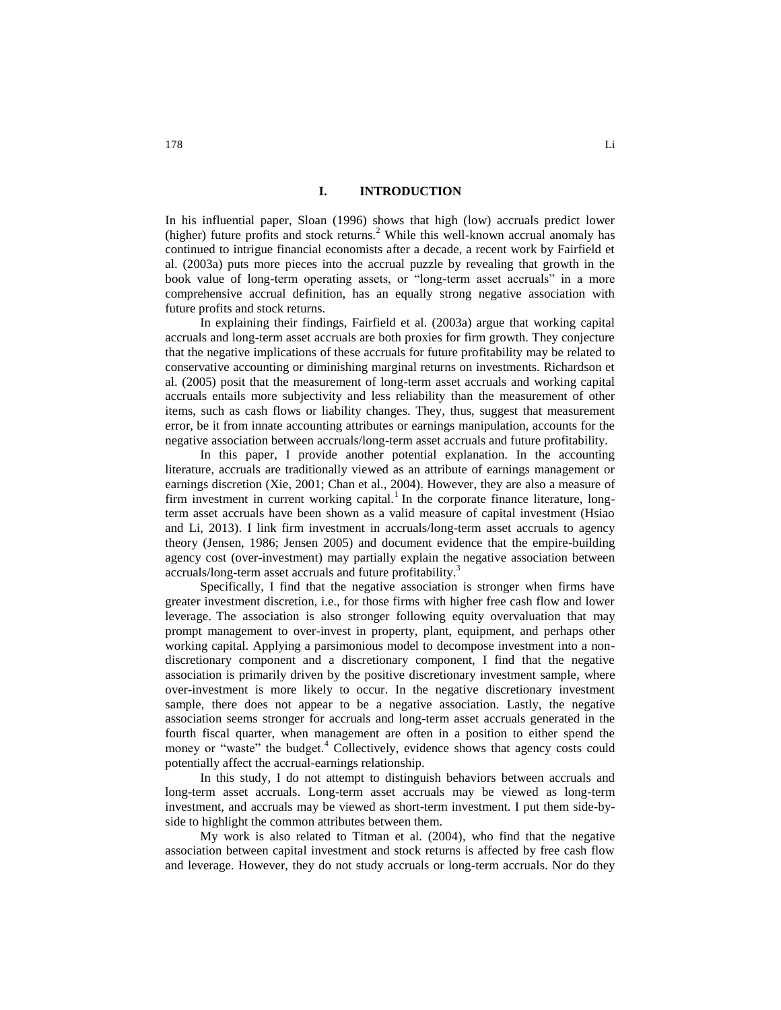#### **I. INTRODUCTION**

In his influential paper, Sloan (1996) shows that high (low) accruals predict lower (higher) future profits and stock returns.<sup>2</sup> While this well-known accrual anomaly has continued to intrigue financial economists after a decade, a recent work by Fairfield et al. (2003a) puts more pieces into the accrual puzzle by revealing that growth in the book value of long-term operating assets, or "long-term asset accruals" in a more comprehensive accrual definition, has an equally strong negative association with future profits and stock returns.

In explaining their findings, Fairfield et al. (2003a) argue that working capital accruals and long-term asset accruals are both proxies for firm growth. They conjecture that the negative implications of these accruals for future profitability may be related to conservative accounting or diminishing marginal returns on investments. Richardson et al. (2005) posit that the measurement of long-term asset accruals and working capital accruals entails more subjectivity and less reliability than the measurement of other items, such as cash flows or liability changes. They, thus, suggest that measurement error, be it from innate accounting attributes or earnings manipulation, accounts for the negative association between accruals/long-term asset accruals and future profitability.

In this paper, I provide another potential explanation. In the accounting literature, accruals are traditionally viewed as an attribute of earnings management or earnings discretion (Xie, 2001; Chan et al., 2004). However, they are also a measure of firm investment in current working capital.<sup>1</sup> In the corporate finance literature, longterm asset accruals have been shown as a valid measure of capital investment (Hsiao and Li, 2013). I link firm investment in accruals/long-term asset accruals to agency theory (Jensen, 1986; Jensen 2005) and document evidence that the empire-building agency cost (over-investment) may partially explain the negative association between accruals/long-term asset accruals and future profitability.<sup>3</sup>

Specifically, I find that the negative association is stronger when firms have greater investment discretion, i.e., for those firms with higher free cash flow and lower leverage. The association is also stronger following equity overvaluation that may prompt management to over-invest in property, plant, equipment, and perhaps other working capital. Applying a parsimonious model to decompose investment into a nondiscretionary component and a discretionary component, I find that the negative association is primarily driven by the positive discretionary investment sample, where over-investment is more likely to occur. In the negative discretionary investment sample, there does not appear to be a negative association. Lastly, the negative association seems stronger for accruals and long-term asset accruals generated in the fourth fiscal quarter, when management are often in a position to either spend the money or "waste" the budget.<sup>4</sup> Collectively, evidence shows that agency costs could potentially affect the accrual-earnings relationship.

In this study, I do not attempt to distinguish behaviors between accruals and long-term asset accruals. Long-term asset accruals may be viewed as long-term investment, and accruals may be viewed as short-term investment. I put them side-byside to highlight the common attributes between them.

My work is also related to Titman et al. (2004), who find that the negative association between capital investment and stock returns is affected by free cash flow and leverage. However, they do not study accruals or long-term accruals. Nor do they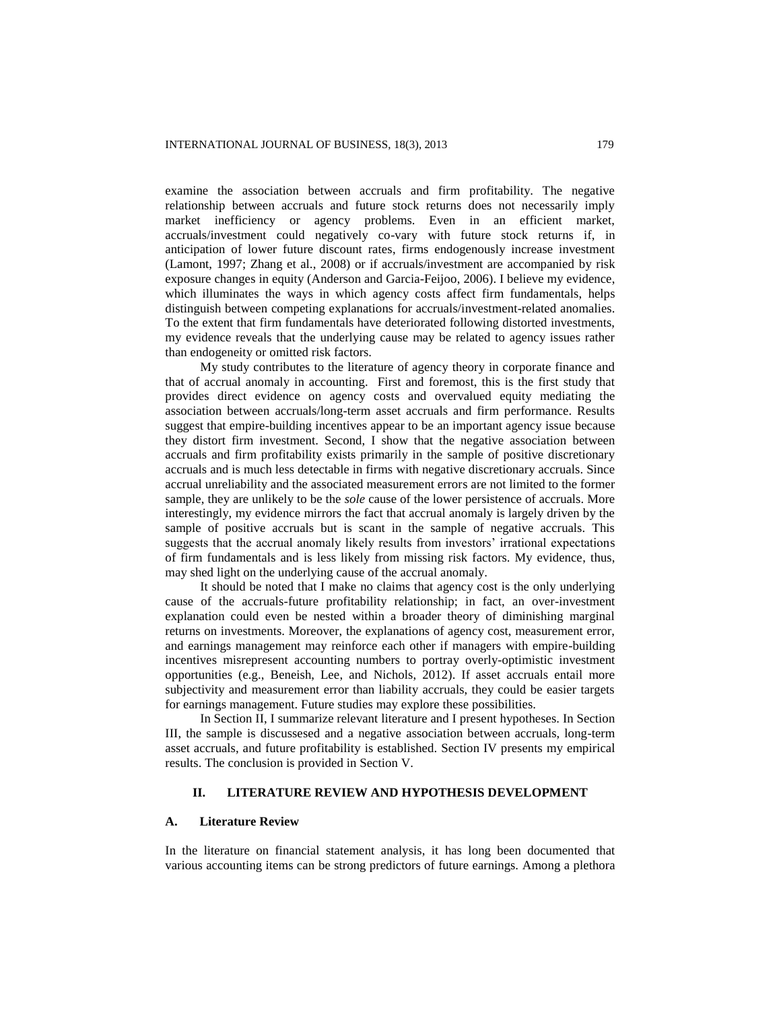examine the association between accruals and firm profitability. The negative relationship between accruals and future stock returns does not necessarily imply market inefficiency or agency problems. Even in an efficient market, accruals/investment could negatively co-vary with future stock returns if, in anticipation of lower future discount rates, firms endogenously increase investment (Lamont, 1997; Zhang et al., 2008) or if accruals/investment are accompanied by risk exposure changes in equity (Anderson and Garcia-Feijoo, 2006). I believe my evidence, which illuminates the ways in which agency costs affect firm fundamentals, helps distinguish between competing explanations for accruals/investment-related anomalies. To the extent that firm fundamentals have deteriorated following distorted investments, my evidence reveals that the underlying cause may be related to agency issues rather than endogeneity or omitted risk factors.

My study contributes to the literature of agency theory in corporate finance and that of accrual anomaly in accounting. First and foremost, this is the first study that provides direct evidence on agency costs and overvalued equity mediating the association between accruals/long-term asset accruals and firm performance. Results suggest that empire-building incentives appear to be an important agency issue because they distort firm investment. Second, I show that the negative association between accruals and firm profitability exists primarily in the sample of positive discretionary accruals and is much less detectable in firms with negative discretionary accruals. Since accrual unreliability and the associated measurement errors are not limited to the former sample, they are unlikely to be the *sole* cause of the lower persistence of accruals. More interestingly, my evidence mirrors the fact that accrual anomaly is largely driven by the sample of positive accruals but is scant in the sample of negative accruals. This suggests that the accrual anomaly likely results from investors' irrational expectations of firm fundamentals and is less likely from missing risk factors. My evidence, thus, may shed light on the underlying cause of the accrual anomaly.

It should be noted that I make no claims that agency cost is the only underlying cause of the accruals-future profitability relationship; in fact, an over-investment explanation could even be nested within a broader theory of diminishing marginal returns on investments. Moreover, the explanations of agency cost, measurement error, and earnings management may reinforce each other if managers with empire-building incentives misrepresent accounting numbers to portray overly-optimistic investment opportunities (e.g., Beneish, Lee, and Nichols, 2012). If asset accruals entail more subjectivity and measurement error than liability accruals, they could be easier targets for earnings management. Future studies may explore these possibilities.

In Section II, I summarize relevant literature and I present hypotheses. In Section III, the sample is discussesed and a negative association between accruals, long-term asset accruals, and future profitability is established. Section IV presents my empirical results. The conclusion is provided in Section V.

## **II. LITERATURE REVIEW AND HYPOTHESIS DEVELOPMENT**

## **A. Literature Review**

In the literature on financial statement analysis, it has long been documented that various accounting items can be strong predictors of future earnings. Among a plethora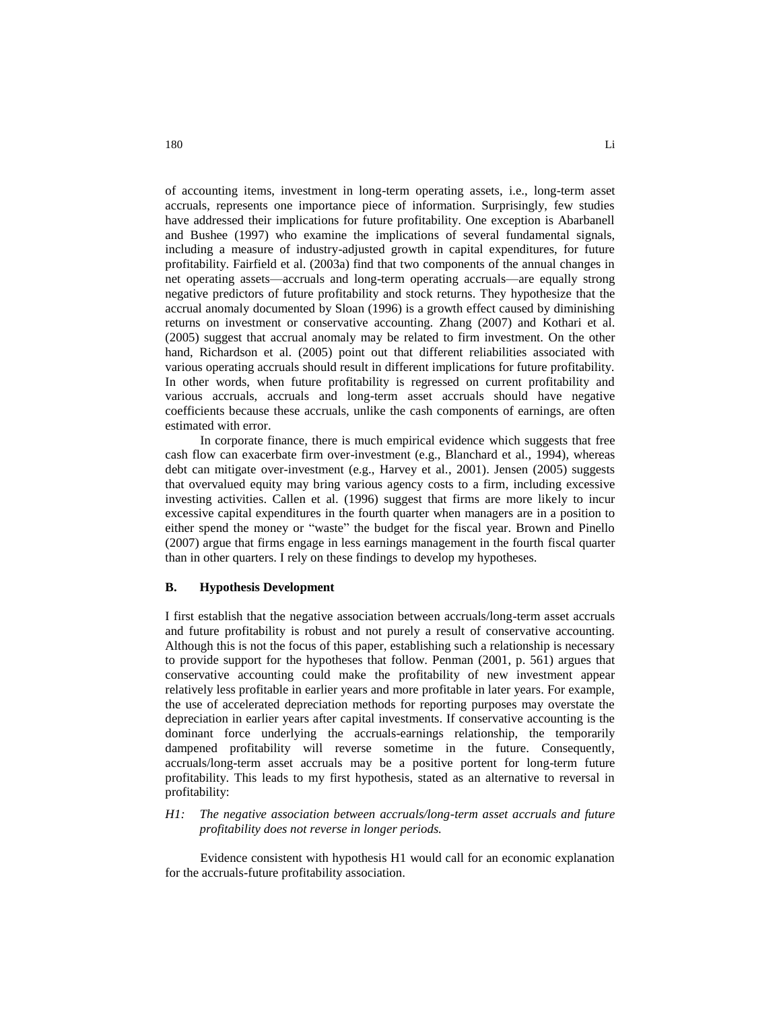of accounting items, investment in long-term operating assets, i.e., long-term asset accruals, represents one importance piece of information. Surprisingly, few studies have addressed their implications for future profitability. One exception is Abarbanell and Bushee (1997) who examine the implications of several fundamental signals, including a measure of industry-adjusted growth in capital expenditures, for future profitability. Fairfield et al. (2003a) find that two components of the annual changes in net operating assets—accruals and long-term operating accruals—are equally strong negative predictors of future profitability and stock returns. They hypothesize that the accrual anomaly documented by Sloan (1996) is a growth effect caused by diminishing returns on investment or conservative accounting. Zhang (2007) and Kothari et al. (2005) suggest that accrual anomaly may be related to firm investment. On the other hand, Richardson et al. (2005) point out that different reliabilities associated with various operating accruals should result in different implications for future profitability. In other words, when future profitability is regressed on current profitability and various accruals, accruals and long-term asset accruals should have negative coefficients because these accruals, unlike the cash components of earnings, are often estimated with error.

In corporate finance, there is much empirical evidence which suggests that free cash flow can exacerbate firm over-investment (e.g., Blanchard et al., 1994), whereas debt can mitigate over-investment (e.g., Harvey et al., 2001). Jensen (2005) suggests that overvalued equity may bring various agency costs to a firm, including excessive investing activities. Callen et al. (1996) suggest that firms are more likely to incur excessive capital expenditures in the fourth quarter when managers are in a position to either spend the money or "waste" the budget for the fiscal year. Brown and Pinello (2007) argue that firms engage in less earnings management in the fourth fiscal quarter than in other quarters. I rely on these findings to develop my hypotheses.

#### **B. Hypothesis Development**

I first establish that the negative association between accruals/long-term asset accruals and future profitability is robust and not purely a result of conservative accounting. Although this is not the focus of this paper, establishing such a relationship is necessary to provide support for the hypotheses that follow. Penman (2001, p. 561) argues that conservative accounting could make the profitability of new investment appear relatively less profitable in earlier years and more profitable in later years. For example, the use of accelerated depreciation methods for reporting purposes may overstate the depreciation in earlier years after capital investments. If conservative accounting is the dominant force underlying the accruals-earnings relationship, the temporarily dampened profitability will reverse sometime in the future. Consequently, accruals/long-term asset accruals may be a positive portent for long-term future profitability. This leads to my first hypothesis, stated as an alternative to reversal in profitability:

### *H1: The negative association between accruals/long-term asset accruals and future profitability does not reverse in longer periods.*

Evidence consistent with hypothesis H1 would call for an economic explanation for the accruals-future profitability association.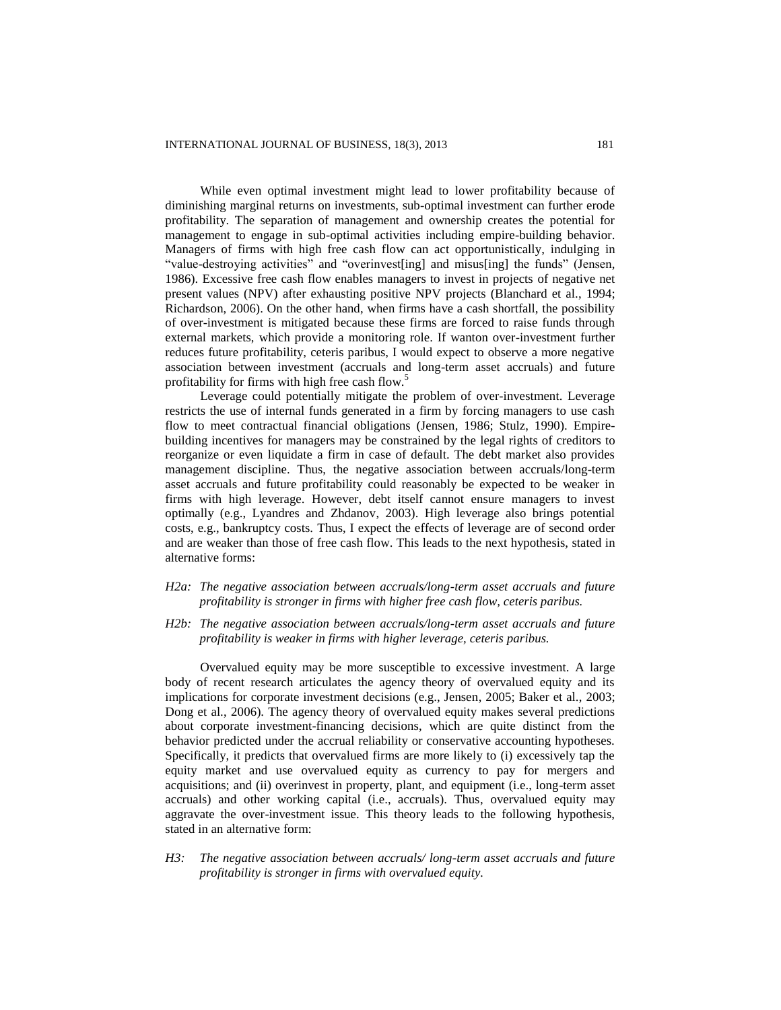While even optimal investment might lead to lower profitability because of diminishing marginal returns on investments, sub-optimal investment can further erode profitability. The separation of management and ownership creates the potential for management to engage in sub-optimal activities including empire-building behavior. Managers of firms with high free cash flow can act opportunistically, indulging in "value-destroying activities" and "overinvest[ing] and misus[ing] the funds" (Jensen, 1986). Excessive free cash flow enables managers to invest in projects of negative net present values (NPV) after exhausting positive NPV projects (Blanchard et al., 1994; Richardson, 2006). On the other hand, when firms have a cash shortfall, the possibility of over-investment is mitigated because these firms are forced to raise funds through external markets, which provide a monitoring role. If wanton over-investment further reduces future profitability, ceteris paribus, I would expect to observe a more negative association between investment (accruals and long-term asset accruals) and future profitability for firms with high free cash flow.<sup>5</sup>

Leverage could potentially mitigate the problem of over-investment. Leverage restricts the use of internal funds generated in a firm by forcing managers to use cash flow to meet contractual financial obligations (Jensen, 1986; Stulz, 1990). Empirebuilding incentives for managers may be constrained by the legal rights of creditors to reorganize or even liquidate a firm in case of default. The debt market also provides management discipline. Thus, the negative association between accruals/long-term asset accruals and future profitability could reasonably be expected to be weaker in firms with high leverage. However, debt itself cannot ensure managers to invest optimally (e.g., Lyandres and Zhdanov, 2003). High leverage also brings potential costs, e.g., bankruptcy costs. Thus, I expect the effects of leverage are of second order and are weaker than those of free cash flow. This leads to the next hypothesis, stated in alternative forms:

## *H2a: The negative association between accruals/long-term asset accruals and future profitability is stronger in firms with higher free cash flow, ceteris paribus.*

*H2b: The negative association between accruals/long-term asset accruals and future profitability is weaker in firms with higher leverage, ceteris paribus.*

Overvalued equity may be more susceptible to excessive investment. A large body of recent research articulates the agency theory of overvalued equity and its implications for corporate investment decisions (e.g., Jensen, 2005; Baker et al., 2003; Dong et al., 2006). The agency theory of overvalued equity makes several predictions about corporate investment-financing decisions, which are quite distinct from the behavior predicted under the accrual reliability or conservative accounting hypotheses. Specifically, it predicts that overvalued firms are more likely to (i) excessively tap the equity market and use overvalued equity as currency to pay for mergers and acquisitions; and (ii) overinvest in property, plant, and equipment (i.e., long-term asset accruals) and other working capital (i.e., accruals). Thus, overvalued equity may aggravate the over-investment issue. This theory leads to the following hypothesis, stated in an alternative form:

*H3: The negative association between accruals/ long-term asset accruals and future profitability is stronger in firms with overvalued equity.*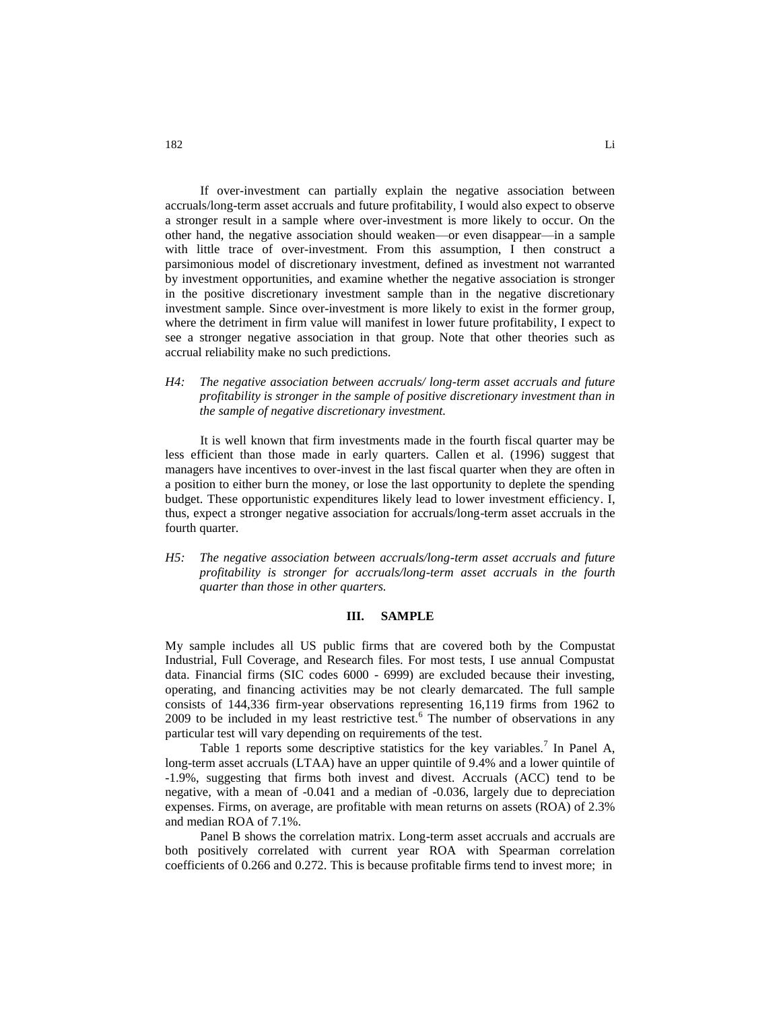If over-investment can partially explain the negative association between accruals/long-term asset accruals and future profitability, I would also expect to observe a stronger result in a sample where over-investment is more likely to occur. On the other hand, the negative association should weaken—or even disappear—in a sample with little trace of over-investment. From this assumption, I then construct a parsimonious model of discretionary investment, defined as investment not warranted by investment opportunities, and examine whether the negative association is stronger in the positive discretionary investment sample than in the negative discretionary investment sample. Since over-investment is more likely to exist in the former group, where the detriment in firm value will manifest in lower future profitability, I expect to see a stronger negative association in that group. Note that other theories such as accrual reliability make no such predictions.

*H4: The negative association between accruals/ long-term asset accruals and future profitability is stronger in the sample of positive discretionary investment than in the sample of negative discretionary investment.* 

It is well known that firm investments made in the fourth fiscal quarter may be less efficient than those made in early quarters. Callen et al. (1996) suggest that managers have incentives to over-invest in the last fiscal quarter when they are often in a position to either burn the money, or lose the last opportunity to deplete the spending budget. These opportunistic expenditures likely lead to lower investment efficiency. I, thus, expect a stronger negative association for accruals/long-term asset accruals in the fourth quarter.

*H5: The negative association between accruals/long-term asset accruals and future profitability is stronger for accruals/long-term asset accruals in the fourth quarter than those in other quarters.* 

### **III. SAMPLE**

My sample includes all US public firms that are covered both by the Compustat Industrial, Full Coverage, and Research files. For most tests, I use annual Compustat data. Financial firms (SIC codes 6000 - 6999) are excluded because their investing, operating, and financing activities may be not clearly demarcated. The full sample consists of 144,336 firm-year observations representing 16,119 firms from 1962 to  $2009$  to be included in my least restrictive test.<sup>6</sup> The number of observations in any particular test will vary depending on requirements of the test.

Table 1 reports some descriptive statistics for the key variables.<sup>7</sup> In Panel A, long-term asset accruals (LTAA) have an upper quintile of 9.4% and a lower quintile of -1.9%, suggesting that firms both invest and divest. Accruals (ACC) tend to be negative, with a mean of -0.041 and a median of -0.036, largely due to depreciation expenses. Firms, on average, are profitable with mean returns on assets (ROA) of 2.3% and median ROA of 7.1%.

Panel B shows the correlation matrix. Long-term asset accruals and accruals are both positively correlated with current year ROA with Spearman correlation coefficients of 0.266 and 0.272. This is because profitable firms tend to invest more; in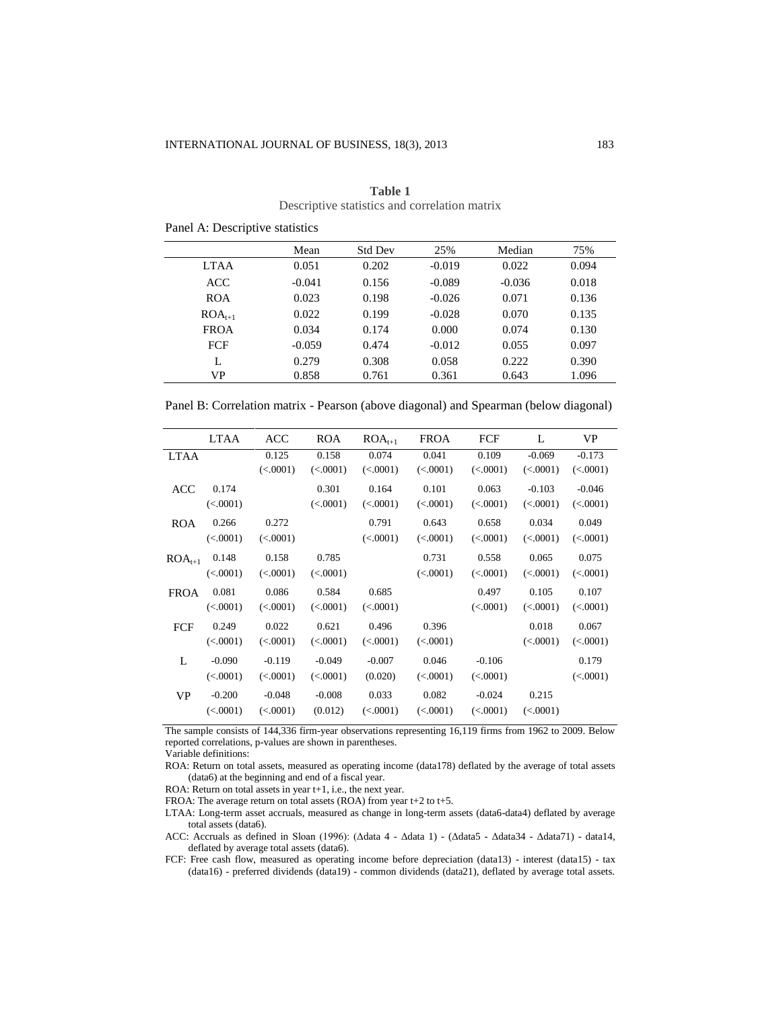|             | Mean     | <b>Std Dev</b> | 25%      | Median   | 75%   |
|-------------|----------|----------------|----------|----------|-------|
| <b>LTAA</b> | 0.051    | 0.202          | $-0.019$ | 0.022    | 0.094 |
| <b>ACC</b>  | $-0.041$ | 0.156          | $-0.089$ | $-0.036$ | 0.018 |
| <b>ROA</b>  | 0.023    | 0.198          | $-0.026$ | 0.071    | 0.136 |
| $ROA_{t+1}$ | 0.022    | 0.199          | $-0.028$ | 0.070    | 0.135 |
| <b>FROA</b> | 0.034    | 0.174          | 0.000    | 0.074    | 0.130 |
| FCF         | $-0.059$ | 0.474          | $-0.012$ | 0.055    | 0.097 |
| L           | 0.279    | 0.308          | 0.058    | 0.222    | 0.390 |
| VP          | 0.858    | 0.761          | 0.361    | 0.643    | 1.096 |

| Table 1                                       |  |
|-----------------------------------------------|--|
| Descriptive statistics and correlation matrix |  |

Panel A: Descriptive statistics

Panel B: Correlation matrix - Pearson (above diagonal) and Spearman (below diagonal)

|             | LTAA     | ACC      | <b>ROA</b> | $ROA_{t+1}$ | <b>FROA</b> | FCF       | L         | VP.      |
|-------------|----------|----------|------------|-------------|-------------|-----------|-----------|----------|
| <b>LTAA</b> |          | 0.125    | 0.158      | 0.074       | 0.041       | 0.109     | $-0.069$  | $-0.173$ |
|             |          | (<.0001) | (<.0001)   | (<.0001)    | (< .0001)   | (<.0001)  | (<.0001)  | (<.0001) |
| <b>ACC</b>  | 0.174    |          | 0.301      | 0.164       | 0.101       | 0.063     | $-0.103$  | $-0.046$ |
|             | (<.0001) |          | (<.0001)   | (<.0001)    | (<.0001)    | (<.0001)  | (<.0001)  | (<.0001) |
| <b>ROA</b>  | 0.266    | 0.272    |            | 0.791       | 0.643       | 0.658     | 0.034     | 0.049    |
|             | (<.0001) | (<.0001) |            | (<.0001)    | (< .0001)   | (<.0001)  | (< .0001) | (<.0001) |
| $ROA_{t+1}$ | 0.148    | 0.158    | 0.785      |             | 0.731       | 0.558     | 0.065     | 0.075    |
|             | (<.0001) | (<.0001) | (<.0001)   |             | (< .0001)   | (< .0001) | (<.0001)  | (<.0001) |
| <b>FROA</b> | 0.081    | 0.086    | 0.584      | 0.685       |             | 0.497     | 0.105     | 0.107    |
|             | (<.0001) | (<.0001) | (<.0001)   | (<.0001)    |             | (<.0001)  | (< .0001) | (<.0001) |
| FCF         | 0.249    | 0.022    | 0.621      | 0.496       | 0.396       |           | 0.018     | 0.067    |
|             | (<.0001) | (<.0001) | (<.0001)   | (<.0001)    | (< .0001)   |           | (< .0001) | (<.0001) |
| L           | $-0.090$ | $-0.119$ | $-0.049$   | $-0.007$    | 0.046       | $-0.106$  |           | 0.179    |
|             | (<.0001) | (<.0001) | (<.0001)   | (0.020)     | (< .0001)   | (< .0001) |           | (<.0001) |
| <b>VP</b>   | $-0.200$ | $-0.048$ | $-0.008$   | 0.033       | 0.082       | $-0.024$  | 0.215     |          |
|             | (<.0001) | (<.0001) | (0.012)    | (<.0001)    | (< .0001)   | (< .0001) | (<.0001)  |          |

The sample consists of 144,336 firm-year observations representing 16,119 firms from 1962 to 2009. Below reported correlations, p-values are shown in parentheses.

Variable definitions:

ROA: Return on total assets, measured as operating income (data178) deflated by the average of total assets (data6) at the beginning and end of a fiscal year.

ROA: Return on total assets in year t+1, i.e., the next year.

FROA: The average return on total assets (ROA) from year t+2 to t+5.

LTAA: Long-term asset accruals, measured as change in long-term assets (data6-data4) deflated by average total assets (data6).

ACC: Accruals as defined in Sloan (1996): (Δdata 4 - Δdata 1) - (Δdata5 - Δdata34 - Δdata71) - data14, deflated by average total assets (data6).

FCF: Free cash flow, measured as operating income before depreciation (data13) - interest (data15) - tax (data16) - preferred dividends (data19) - common dividends (data21), deflated by average total assets.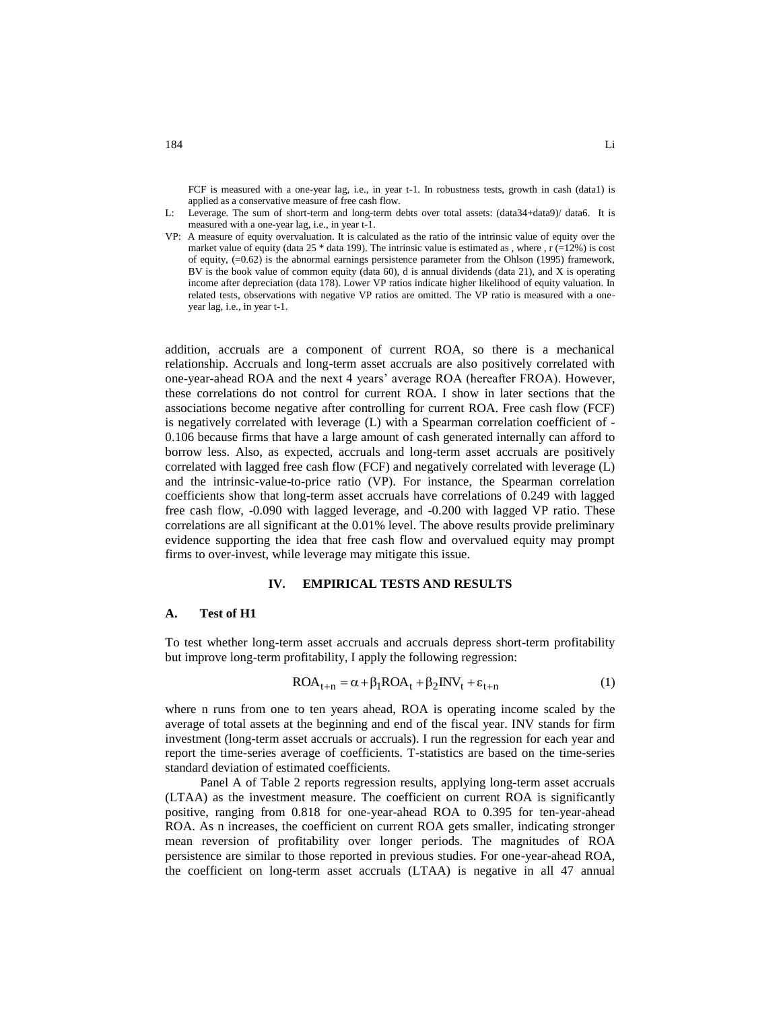FCF is measured with a one-year lag, i.e., in year t-1. In robustness tests, growth in cash (data1) is applied as a conservative measure of free cash flow.

- L: Leverage. The sum of short-term and long-term debts over total assets: (data34+data9)/ data6. It is measured with a one-year lag, i.e., in year t-1.
- VP: A measure of equity overvaluation. It is calculated as the ratio of the intrinsic value of equity over the market value of equity (data  $25 *$  data 199). The intrinsic value is estimated as , where , r (=12%) is cost of equity, (=0.62) is the abnormal earnings persistence parameter from the Ohlson (1995) framework, BV is the book value of common equity (data 60), d is annual dividends (data 21), and X is operating income after depreciation (data 178). Lower VP ratios indicate higher likelihood of equity valuation. In related tests, observations with negative VP ratios are omitted. The VP ratio is measured with a oneyear lag, i.e., in year t-1.

addition, accruals are a component of current ROA, so there is a mechanical relationship. Accruals and long-term asset accruals are also positively correlated with one-year-ahead ROA and the next 4 years' average ROA (hereafter FROA). However, these correlations do not control for current ROA. I show in later sections that the associations become negative after controlling for current ROA. Free cash flow (FCF) is negatively correlated with leverage (L) with a Spearman correlation coefficient of - 0.106 because firms that have a large amount of cash generated internally can afford to borrow less. Also, as expected, accruals and long-term asset accruals are positively correlated with lagged free cash flow (FCF) and negatively correlated with leverage (L) and the intrinsic-value-to-price ratio (VP). For instance, the Spearman correlation coefficients show that long-term asset accruals have correlations of 0.249 with lagged free cash flow, -0.090 with lagged leverage, and -0.200 with lagged VP ratio. These correlations are all significant at the 0.01% level. The above results provide preliminary evidence supporting the idea that free cash flow and overvalued equity may prompt firms to over-invest, while leverage may mitigate this issue.

### **IV. EMPIRICAL TESTS AND RESULTS**

#### **A. Test of H1**

To test whether long-term asset accruals and accruals depress short-term profitability but improve long-term profitability, I apply the following regression:

$$
ROA_{t+n} = \alpha + \beta_1 ROA_t + \beta_2 INV_t + \varepsilon_{t+n}
$$
 (1)

where n runs from one to ten years ahead, ROA is operating income scaled by the average of total assets at the beginning and end of the fiscal year. INV stands for firm investment (long-term asset accruals or accruals). I run the regression for each year and report the time-series average of coefficients. T-statistics are based on the time-series standard deviation of estimated coefficients.

Panel A of Table 2 reports regression results, applying long-term asset accruals (LTAA) as the investment measure. The coefficient on current ROA is significantly positive, ranging from 0.818 for one-year-ahead ROA to 0.395 for ten-year-ahead ROA. As n increases, the coefficient on current ROA gets smaller, indicating stronger mean reversion of profitability over longer periods. The magnitudes of ROA persistence are similar to those reported in previous studies. For one-year-ahead ROA, the coefficient on long-term asset accruals (LTAA) is negative in all 47 annual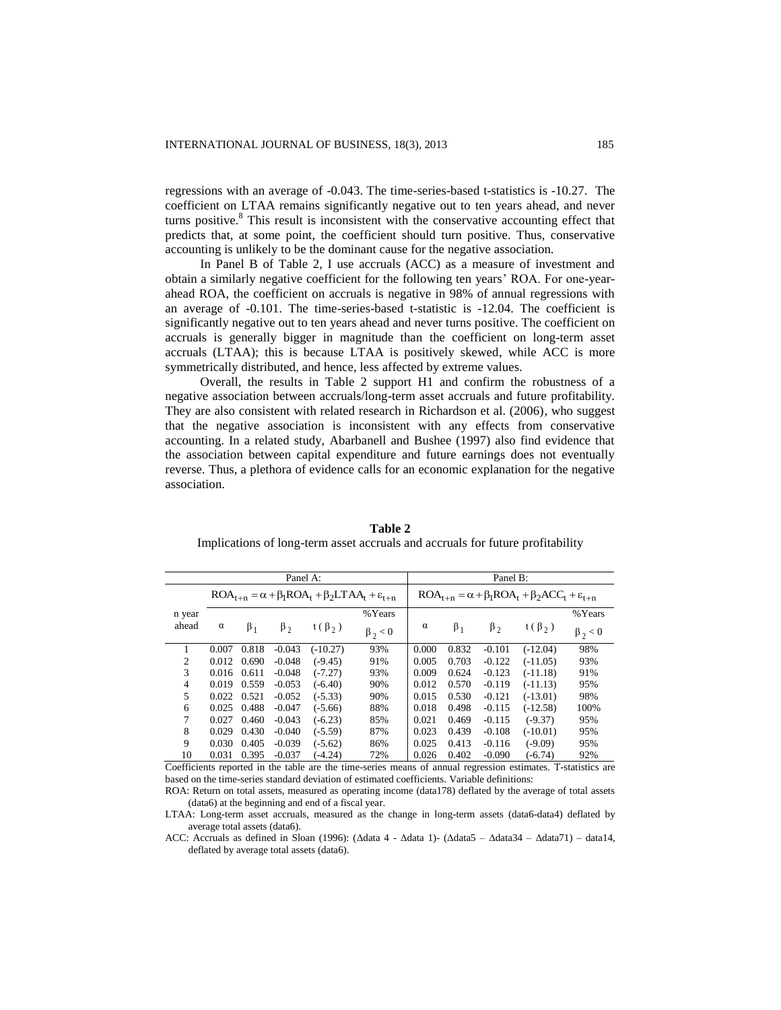regressions with an average of -0.043. The time-series-based t-statistics is -10.27. The coefficient on LTAA remains significantly negative out to ten years ahead, and never turns positive.<sup>8</sup> This result is inconsistent with the conservative accounting effect that predicts that, at some point, the coefficient should turn positive. Thus, conservative accounting is unlikely to be the dominant cause for the negative association.

In Panel B of Table 2, I use accruals (ACC) as a measure of investment and obtain a similarly negative coefficient for the following ten years' ROA. For one-yearahead ROA, the coefficient on accruals is negative in 98% of annual regressions with an average of -0.101. The time-series-based t-statistic is -12.04. The coefficient is significantly negative out to ten years ahead and never turns positive. The coefficient on accruals is generally bigger in magnitude than the coefficient on long-term asset accruals (LTAA); this is because LTAA is positively skewed, while ACC is more symmetrically distributed, and hence, less affected by extreme values.

Overall, the results in Table 2 support H1 and confirm the robustness of a negative association between accruals/long-term asset accruals and future profitability. They are also consistent with related research in Richardson et al. (2006), who suggest that the negative association is inconsistent with any effects from conservative accounting. In a related study, Abarbanell and Bushee (1997) also find evidence that the association between capital expenditure and future earnings does not eventually reverse. Thus, a plethora of evidence calls for an economic explanation for the negative association.

|                                                                           | Panel A: |           |             |              |               |          |                                                                          | Panel B:  |              |               |  |  |  |
|---------------------------------------------------------------------------|----------|-----------|-------------|--------------|---------------|----------|--------------------------------------------------------------------------|-----------|--------------|---------------|--|--|--|
| $ROA_{t+n} = \alpha + \beta_1 ROA_t + \beta_2 LTAA_t + \varepsilon_{t+n}$ |          |           |             |              |               |          | $ROA_{t+n} = \alpha + \beta_1 ROA_t + \beta_2 ACC_t + \varepsilon_{t+n}$ |           |              |               |  |  |  |
| n year                                                                    |          |           |             |              | % Years       |          |                                                                          |           |              | %Years        |  |  |  |
| ahead                                                                     | $\alpha$ | $\beta_1$ | $\beta_{2}$ | $t(\beta_2)$ | $\beta_2 < 0$ | $\alpha$ | $\beta_1$                                                                | $\beta_2$ | $t(\beta_2)$ | $\beta_2 < 0$ |  |  |  |
|                                                                           | 0.007    | 0.818     | $-0.043$    | $(-10.27)$   | 93%           | 0.000    | 0.832                                                                    | $-0.101$  | $(-12.04)$   | 98%           |  |  |  |
| $\overline{c}$                                                            | 0.012    | 0.690     | $-0.048$    | $(-9.45)$    | 91%           | 0.005    | 0.703                                                                    | $-0.122$  | $(-11.05)$   | 93%           |  |  |  |
| 3                                                                         | 0.016    | 0.611     | $-0.048$    | $(-7.27)$    | 93%           | 0.009    | 0.624                                                                    | $-0.123$  | $(-11.18)$   | 91%           |  |  |  |
| 4                                                                         | 0.019    | 0.559     | $-0.053$    | $(-6.40)$    | 90%           | 0.012    | 0.570                                                                    | $-0.119$  | $(-11.13)$   | 95%           |  |  |  |
| 5                                                                         | 0.022    | 0.521     | $-0.052$    | $(-5.33)$    | 90%           | 0.015    | 0.530                                                                    | $-0.121$  | $(-13.01)$   | 98%           |  |  |  |
| 6                                                                         | 0.025    | 0.488     | $-0.047$    | $(-5.66)$    | 88%           | 0.018    | 0.498                                                                    | $-0.115$  | $(-12.58)$   | 100%          |  |  |  |
| 7                                                                         | 0.027    | 0.460     | $-0.043$    | $(-6.23)$    | 85%           | 0.021    | 0.469                                                                    | $-0.115$  | $(-9.37)$    | 95%           |  |  |  |
| 8                                                                         | 0.029    | 0.430     | $-0.040$    | $(-5.59)$    | 87%           | 0.023    | 0.439                                                                    | $-0.108$  | $(-10.01)$   | 95%           |  |  |  |
| 9                                                                         | 0.030    | 0.405     | $-0.039$    | $(-5.62)$    | 86%           | 0.025    | 0.413                                                                    | $-0.116$  | $(-9.09)$    | 95%           |  |  |  |
| 10                                                                        | 0.031    | 0.395     | $-0.037$    | $(-4.24)$    | 72%           | 0.026    | 0.402                                                                    | $-0.090$  | $(-6.74)$    | 92%           |  |  |  |

**Table 2** Implications of long-term asset accruals and accruals for future profitability

Coefficients reported in the table are the time-series means of annual regression estimates. T-statistics are based on the time-series standard deviation of estimated coefficients. Variable definitions:

ROA: Return on total assets, measured as operating income (data178) deflated by the average of total assets (data6) at the beginning and end of a fiscal year.

LTAA: Long-term asset accruals, measured as the change in long-term assets (data6-data4) deflated by average total assets (data6).

ACC: Accruals as defined in Sloan (1996): (Δdata 4 - Δdata 1)- (Δdata5 – Δdata34 – Δdata71) – data14, deflated by average total assets (data6).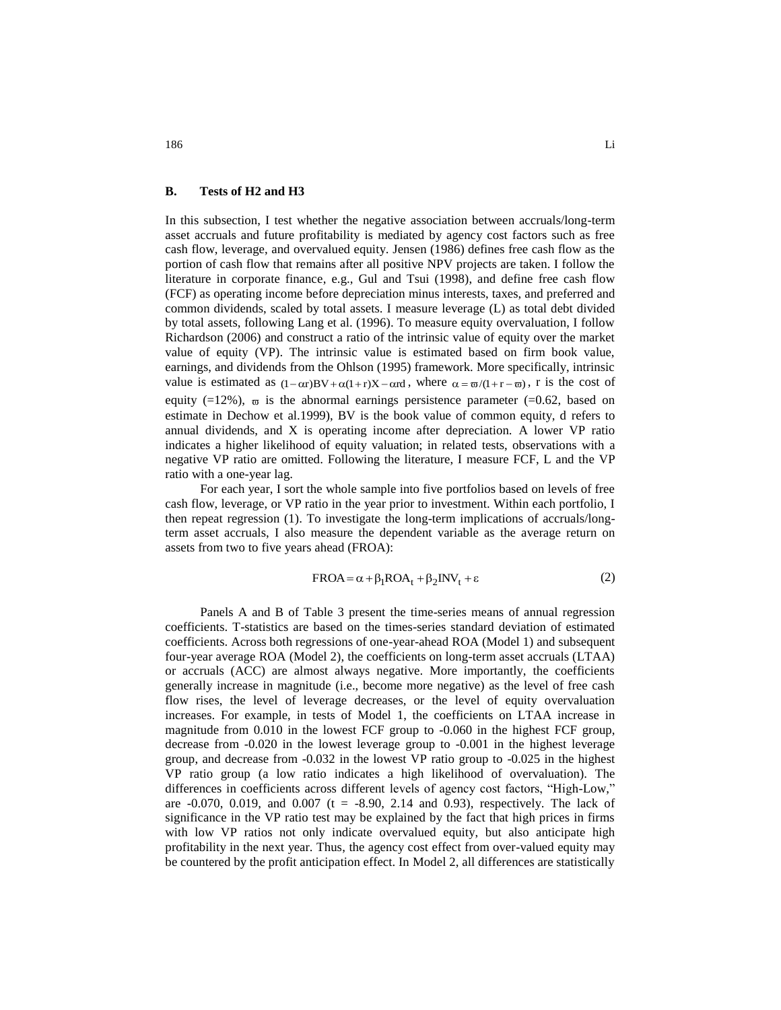#### **B. Tests of H2 and H3**

In this subsection, I test whether the negative association between accruals/long-term asset accruals and future profitability is mediated by agency cost factors such as free cash flow, leverage, and overvalued equity. Jensen (1986) defines free cash flow as the portion of cash flow that remains after all positive NPV projects are taken. I follow the literature in corporate finance, e.g., Gul and Tsui (1998), and define free cash flow (FCF) as operating income before depreciation minus interests, taxes, and preferred and common dividends, scaled by total assets. I measure leverage (L) as total debt divided by total assets, following Lang et al. (1996). To measure equity overvaluation, I follow Richardson (2006) and construct a ratio of the intrinsic value of equity over the market value of equity (VP). The intrinsic value is estimated based on firm book value, earnings, and dividends from the Ohlson (1995) framework. More specifically, intrinsic value is estimated as  $(1-\alpha r)BV + \alpha(1+r)X - \alpha rd$ , where  $\alpha = \varpi/(1+r-\varpi)$ , r is the cost of equity  $(=12\%)$ ,  $\overline{\omega}$  is the abnormal earnings persistence parameter  $(=0.62,$  based on estimate in Dechow et al.1999), BV is the book value of common equity, d refers to annual dividends, and X is operating income after depreciation. A lower VP ratio indicates a higher likelihood of equity valuation; in related tests, observations with a negative VP ratio are omitted. Following the literature, I measure FCF, L and the VP ratio with a one-year lag.

For each year, I sort the whole sample into five portfolios based on levels of free cash flow, leverage, or VP ratio in the year prior to investment. Within each portfolio, I then repeat regression (1). To investigate the long-term implications of accruals/longterm asset accruals, I also measure the dependent variable as the average return on assets from two to five years ahead (FROA):

$$
FROA = \alpha + \beta_1 ROA_t + \beta_2 INV_t + \varepsilon
$$
 (2)

Panels A and B of Table 3 present the time-series means of annual regression coefficients. T-statistics are based on the times-series standard deviation of estimated coefficients. Across both regressions of one-year-ahead ROA (Model 1) and subsequent four-year average ROA (Model 2), the coefficients on long-term asset accruals (LTAA) or accruals (ACC) are almost always negative. More importantly, the coefficients generally increase in magnitude (i.e., become more negative) as the level of free cash flow rises, the level of leverage decreases, or the level of equity overvaluation increases. For example, in tests of Model 1, the coefficients on LTAA increase in magnitude from 0.010 in the lowest FCF group to -0.060 in the highest FCF group, decrease from -0.020 in the lowest leverage group to -0.001 in the highest leverage group, and decrease from -0.032 in the lowest VP ratio group to -0.025 in the highest VP ratio group (a low ratio indicates a high likelihood of overvaluation). The differences in coefficients across different levels of agency cost factors, "High-Low," are  $-0.070$ ,  $0.019$ , and  $0.007$  (t =  $-8.90$ ,  $2.14$  and  $0.93$ ), respectively. The lack of significance in the VP ratio test may be explained by the fact that high prices in firms with low VP ratios not only indicate overvalued equity, but also anticipate high profitability in the next year. Thus, the agency cost effect from over-valued equity may be countered by the profit anticipation effect. In Model 2, all differences are statistically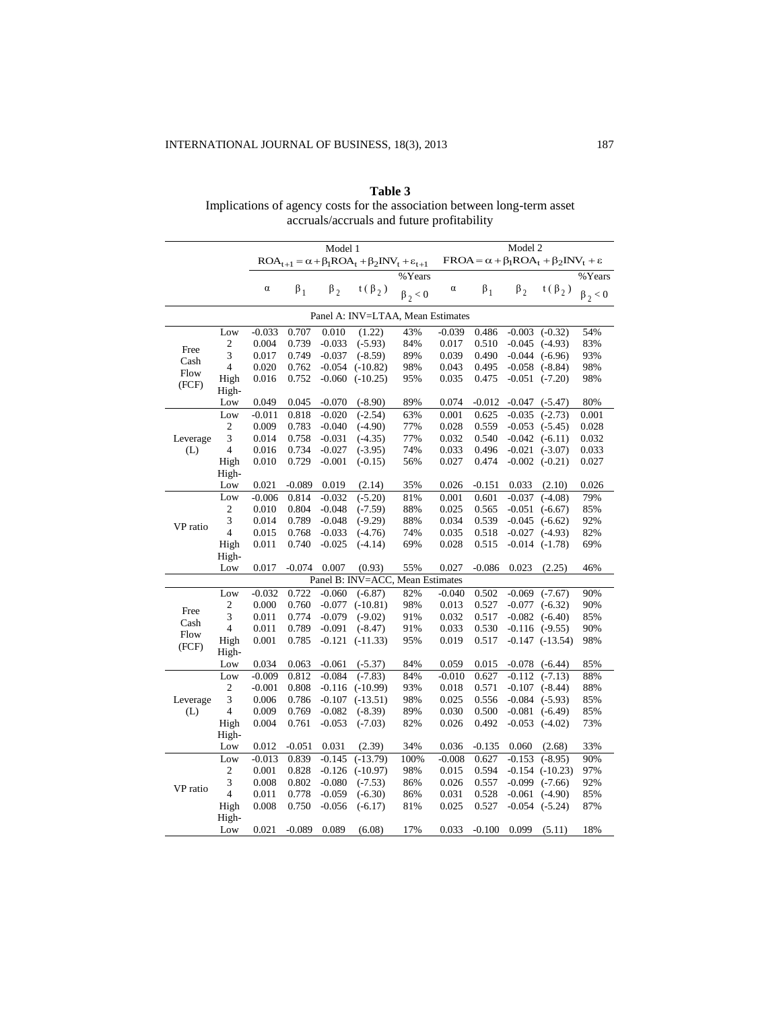| Table 3                                                                  |
|--------------------------------------------------------------------------|
| Implications of agency costs for the association between long-term asset |
| accruals/accruals and future profitability                               |

|                                   |                  | Model 1                                                                                                                                                                                 |           |          |                                  |               |          | Model 2  |          |                                  |               |  |
|-----------------------------------|------------------|-----------------------------------------------------------------------------------------------------------------------------------------------------------------------------------------|-----------|----------|----------------------------------|---------------|----------|----------|----------|----------------------------------|---------------|--|
|                                   |                  | $\text{ROA}_{t+1} = \alpha + \beta_1 \text{ROA}_t + \beta_2 \text{INV}_t + \varepsilon_{t+1} \quad \  \text{FROA} = \alpha + \beta_1 \text{ROA}_t + \beta_2 \text{INV}_t + \varepsilon$ |           |          |                                  |               |          |          |          |                                  |               |  |
|                                   |                  |                                                                                                                                                                                         |           |          |                                  | %Years        |          |          |          |                                  | %Years        |  |
|                                   |                  | $\alpha$                                                                                                                                                                                | $\beta_1$ |          | $\beta_2$ t( $\beta_2$ )         | $\beta_2 < 0$ | $\alpha$ |          |          | $\beta_1$ $\beta_2$ $t(\beta_2)$ | $\beta_2 < 0$ |  |
| Panel A: INV=LTAA, Mean Estimates |                  |                                                                                                                                                                                         |           |          |                                  |               |          |          |          |                                  |               |  |
|                                   | Low              | $-0.033$                                                                                                                                                                                | 0.707     | 0.010    | (1.22)                           | 43%           | $-0.039$ | 0.486    |          | $-0.003$ $(-0.32)$               | 54%           |  |
|                                   | 2                | 0.004                                                                                                                                                                                   | 0.739     | $-0.033$ | $(-5.93)$                        | 84%           | 0.017    | 0.510    |          | $-0.045$ $(-4.93)$               | 83%           |  |
| Free                              | 3                | 0.017                                                                                                                                                                                   | 0.749     | $-0.037$ | $(-8.59)$                        | 89%           | 0.039    | 0.490    |          | $-0.044$ $(-6.96)$               | 93%           |  |
| Cash                              | $\overline{4}$   | 0.020                                                                                                                                                                                   | 0.762     | $-0.054$ | $(-10.82)$                       | 98%           | 0.043    | 0.495    |          | $-0.058$ $(-8.84)$               | 98%           |  |
| Flow                              | High             | 0.016                                                                                                                                                                                   | 0.752     | $-0.060$ | $(-10.25)$                       | 95%           | 0.035    | 0.475    |          | $-0.051$ $(-7.20)$               | 98%           |  |
| (FCF)                             | High-            |                                                                                                                                                                                         |           |          |                                  |               |          |          |          |                                  |               |  |
|                                   | Low              | 0.049                                                                                                                                                                                   | 0.045     | $-0.070$ | $(-8.90)$                        | 89%           | 0.074    | $-0.012$ | $-0.047$ | $(-5.47)$                        | 80%           |  |
|                                   | Low              | $-0.011$                                                                                                                                                                                | 0.818     | $-0.020$ | $(-2.54)$                        | 63%           | 0.001    | 0.625    |          | $-0.035$ $(-2.73)$               | 0.001         |  |
|                                   | 2                | 0.009                                                                                                                                                                                   | 0.783     | $-0.040$ | $(-4.90)$                        | 77%           | 0.028    | 0.559    |          | $-0.053$ $(-5.45)$               | 0.028         |  |
| Leverage                          | 3                | 0.014                                                                                                                                                                                   | 0.758     | $-0.031$ | $(-4.35)$                        | 77%           | 0.032    | 0.540    |          | $-0.042$ $(-6.11)$               | 0.032         |  |
| (L)                               | $\overline{4}$   | 0.016                                                                                                                                                                                   | 0.734     | $-0.027$ | $(-3.95)$                        | 74%           | 0.033    | 0.496    |          | $-0.021$ $(-3.07)$               | 0.033         |  |
|                                   | High             | 0.010                                                                                                                                                                                   | 0.729     | $-0.001$ | $(-0.15)$                        | 56%           | 0.027    | 0.474    |          | $-0.002$ $(-0.21)$               | 0.027         |  |
|                                   | High-            |                                                                                                                                                                                         |           |          |                                  |               |          |          |          |                                  |               |  |
|                                   | Low              | 0.021                                                                                                                                                                                   | $-0.089$  | 0.019    | (2.14)                           | 35%           | 0.026    | $-0.151$ | 0.033    | (2.10)                           | 0.026         |  |
|                                   | Low              | $-0.006$                                                                                                                                                                                | 0.814     | $-0.032$ | $(-5.20)$                        | 81%           | 0.001    | 0.601    | $-0.037$ | $(-4.08)$                        | 79%           |  |
|                                   | 2                | 0.010                                                                                                                                                                                   | 0.804     | $-0.048$ | $(-7.59)$                        | 88%           | 0.025    | 0.565    |          | $-0.051$ $(-6.67)$               | 85%           |  |
|                                   | 3                | 0.014                                                                                                                                                                                   | 0.789     | $-0.048$ | $(-9.29)$                        | 88%           | 0.034    | 0.539    |          | $-0.045$ $(-6.62)$               | 92%           |  |
| VP ratio                          | $\overline{4}$   | 0.015                                                                                                                                                                                   | 0.768     | $-0.033$ | $(-4.76)$                        | 74%           | 0.035    | 0.518    |          | $-0.027$ $(-4.93)$               | 82%           |  |
|                                   | High             | 0.011                                                                                                                                                                                   | 0.740     | $-0.025$ | $(-4.14)$                        | 69%           | 0.028    | 0.515    |          | $-0.014$ $(-1.78)$               | 69%           |  |
|                                   | High-            |                                                                                                                                                                                         |           |          |                                  |               |          |          |          |                                  |               |  |
|                                   | Low              | 0.017                                                                                                                                                                                   | $-0.074$  | 0.007    | (0.93)                           | 55%           | 0.027    | $-0.086$ | 0.023    | (2.25)                           | 46%           |  |
|                                   |                  |                                                                                                                                                                                         |           |          | Panel B: INV=ACC, Mean Estimates |               |          |          |          |                                  |               |  |
|                                   | Low              | $-0.032$                                                                                                                                                                                | 0.722     | $-0.060$ | $(-6.87)$                        | 82%           | $-0.040$ | 0.502    |          | $-0.069$ $(-7.67)$               | 90%           |  |
|                                   | 2                | 0.000                                                                                                                                                                                   | 0.760     | $-0.077$ | $(-10.81)$                       | 98%           | 0.013    | 0.527    |          | $-0.077$ $(-6.32)$               | 90%           |  |
| Free                              | 3                | 0.011                                                                                                                                                                                   | 0.774     | $-0.079$ | $(-9.02)$                        | 91%           | 0.032    | 0.517    |          | $-0.082$ $(-6.40)$               | 85%           |  |
| Cash                              | $\overline{4}$   | 0.011                                                                                                                                                                                   | 0.789     | $-0.091$ | $(-8.47)$                        | 91%           | 0.033    | 0.530    |          | $-0.116$ $(-9.55)$               | 90%           |  |
| Flow                              | High             | 0.001                                                                                                                                                                                   | 0.785     | $-0.121$ | $(-11.33)$                       | 95%           | 0.019    | 0.517    |          | $-0.147$ $(-13.54)$              | 98%           |  |
| (FCF)                             | High-            |                                                                                                                                                                                         |           |          |                                  |               |          |          |          |                                  |               |  |
|                                   | Low              | 0.034                                                                                                                                                                                   | 0.063     | $-0.061$ | $(-5.37)$                        | 84%           | 0.059    | 0.015    |          | $-0.078$ $(-6.44)$               | 85%           |  |
|                                   | Low              | $-0.009$                                                                                                                                                                                | 0.812     | $-0.084$ | $(-7.83)$                        | 84%           | $-0.010$ | 0.627    |          | $-0.112$ $(-7.13)$               | 88%           |  |
|                                   | $\sqrt{2}$       | $-0.001$                                                                                                                                                                                | 0.808     | $-0.116$ | $(-10.99)$                       | 93%           | 0.018    | 0.571    |          | $-0.107$ $(-8.44)$               | 88%           |  |
| Leverage                          | 3                | 0.006                                                                                                                                                                                   | 0.786     | $-0.107$ | $(-13.51)$                       | 98%           | 0.025    | 0.556    |          | $-0.084$ $(-5.93)$               | 85%           |  |
| (L)                               | $\overline{4}$   | 0.009                                                                                                                                                                                   | 0.769     | $-0.082$ | $(-8.39)$                        | 89%           | 0.030    | 0.500    |          | $-0.081$ $(-6.49)$               | 85%           |  |
|                                   | High             | 0.004                                                                                                                                                                                   | 0.761     | $-0.053$ | $(-7.03)$                        | 82%           | 0.026    | 0.492    |          | $-0.053$ $(-4.02)$               | 73%           |  |
|                                   | High-            |                                                                                                                                                                                         |           |          |                                  |               |          |          |          |                                  |               |  |
|                                   | Low              | 0.012                                                                                                                                                                                   | $-0.051$  | 0.031    | (2.39)                           | 34%           | 0.036    | $-0.135$ | 0.060    | (2.68)                           | 33%           |  |
|                                   | Low              | $-0.013$                                                                                                                                                                                | 0.839     | $-0.145$ | $(-13.79)$                       | 100%          | $-0.008$ | 0.627    |          | $-0.153$ $(-8.95)$               | 90%           |  |
|                                   | $\boldsymbol{2}$ | 0.001                                                                                                                                                                                   | 0.828     | $-0.126$ | $(-10.97)$                       | 98%           | 0.015    | 0.594    |          | $-0.154$ $(-10.23)$              | 97%           |  |
|                                   | 3                | 0.008                                                                                                                                                                                   | 0.802     | $-0.080$ | $(-7.53)$                        | 86%           | 0.026    | 0.557    |          | $-0.099$ $(-7.66)$               | 92%           |  |
| VP ratio                          | $\overline{4}$   | 0.011                                                                                                                                                                                   | 0.778     | $-0.059$ | $(-6.30)$                        | 86%           | 0.031    | 0.528    |          | $-0.061$ $(-4.90)$               | 85%           |  |
|                                   | High             | 0.008                                                                                                                                                                                   | 0.750     | $-0.056$ | $(-6.17)$                        | 81%           | 0.025    | 0.527    |          | $-0.054$ $(-5.24)$               | 87%           |  |
|                                   | High-            |                                                                                                                                                                                         |           |          |                                  |               |          |          |          |                                  |               |  |
|                                   | Low              | 0.021                                                                                                                                                                                   | $-0.089$  | 0.089    | (6.08)                           | 17%           | 0.033    | $-0.100$ | 0.099    | (5.11)                           | 18%           |  |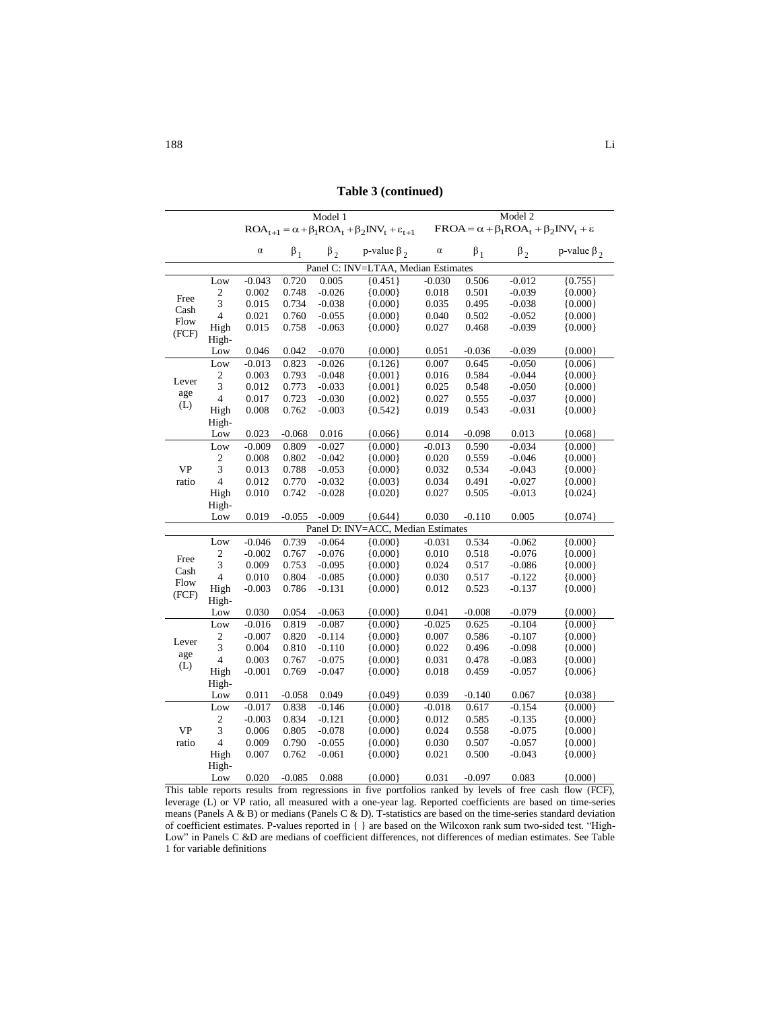**Table 3 (continued)**

|              |                         |                                     |           | Model 1   |                                                                        | Model 2  |                                                             |           |                   |  |  |
|--------------|-------------------------|-------------------------------------|-----------|-----------|------------------------------------------------------------------------|----------|-------------------------------------------------------------|-----------|-------------------|--|--|
|              |                         |                                     |           |           | $ROA_{t+1} = \alpha + \beta_1ROA_t + \beta_2INV_t + \varepsilon_{t+1}$ |          | $FROA = \alpha + \beta_1ROA_t + \beta_2INV_t + \varepsilon$ |           |                   |  |  |
|              |                         | $\alpha$                            | $\beta_1$ | $\beta_2$ | p-value $\beta$ ,                                                      | $\alpha$ | $\beta_1$                                                   | $\beta_2$ | p-value $\beta_2$ |  |  |
|              |                         | Panel C: INV=LTAA, Median Estimates |           |           |                                                                        |          |                                                             |           |                   |  |  |
|              | Low                     | $-0.043$                            | 0.720     | 0.005     | ${0.451}$                                                              | $-0.030$ | 0.506                                                       | $-0.012$  | ${0.755}$         |  |  |
| Free         | $\frac{2}{3}$           | 0.002                               | 0.748     | $-0.026$  | ${0.000}$                                                              | 0.018    | 0.501                                                       | $-0.039$  | ${0.000}$         |  |  |
|              |                         | 0.015                               | 0.734     | $-0.038$  | ${0.000}$                                                              | 0.035    | 0.495                                                       | $-0.038$  | ${0.000}$         |  |  |
| Cash<br>Flow | $\overline{4}$          | 0.021                               | 0.760     | $-0.055$  | ${0.000}$                                                              | 0.040    | 0.502                                                       | $-0.052$  | ${0.000}$         |  |  |
|              | High                    | 0.015                               | 0.758     | $-0.063$  | ${0.000}$                                                              | 0.027    | 0.468                                                       | $-0.039$  | ${0.000}$         |  |  |
| (FCF)        | High-                   |                                     |           |           |                                                                        |          |                                                             |           |                   |  |  |
|              | Low                     | 0.046                               | 0.042     | $-0.070$  | ${0.000}$                                                              | 0.051    | $-0.036$                                                    | $-0.039$  | ${0.000}$         |  |  |
|              | Low                     | $-0.013$                            | 0.823     | $-0.026$  | ${0.126}$                                                              | 0.007    | 0.645                                                       | $-0.050$  | ${0.006}$         |  |  |
| Lever        | $\frac{2}{3}$           | 0.003                               | 0.793     | $-0.048$  | ${0.001}$                                                              | 0.016    | 0.584                                                       | $-0.044$  | ${0.000}$         |  |  |
|              |                         | 0.012                               | 0.773     | $-0.033$  | ${0.001}$                                                              | 0.025    | 0.548                                                       | $-0.050$  | ${0.000}$         |  |  |
| age<br>(L)   | $\overline{4}$          | 0.017                               | 0.723     | $-0.030$  | ${0.002}$                                                              | 0.027    | 0.555                                                       | $-0.037$  | ${0.000}$         |  |  |
|              | High                    | 0.008                               | 0.762     | $-0.003$  | ${0.542}$                                                              | 0.019    | 0.543                                                       | $-0.031$  | ${0.000}$         |  |  |
|              | High-                   |                                     |           |           |                                                                        |          |                                                             |           |                   |  |  |
|              | Low                     | 0.023                               | $-0.068$  | 0.016     | ${0.066}$                                                              | 0.014    | $-0.098$                                                    | 0.013     | ${0.068}$         |  |  |
|              | Low                     | $-0.009$                            | 0.809     | $-0.027$  | ${0.000}$                                                              | $-0.013$ | 0.590                                                       | $-0.034$  | ${0.000}$         |  |  |
|              | $\overline{\mathbf{c}}$ | 0.008                               | 0.802     | $-0.042$  | ${0.000}$                                                              | 0.020    | 0.559                                                       | $-0.046$  | ${0.000}$         |  |  |
| <b>VP</b>    | $\overline{3}$          | 0.013                               | 0.788     | $-0.053$  | ${0.000}$                                                              | 0.032    | 0.534                                                       | $-0.043$  | ${0.000}$         |  |  |
| ratio        | $\overline{4}$          | 0.012                               | 0.770     | $-0.032$  | ${0.003}$                                                              | 0.034    | 0.491                                                       | $-0.027$  | ${0.000}$         |  |  |
|              | High                    | 0.010                               | 0.742     | $-0.028$  | ${0.020}$                                                              | 0.027    | 0.505                                                       | $-0.013$  | ${0.024}$         |  |  |
|              | High-                   |                                     |           |           |                                                                        |          |                                                             |           |                   |  |  |
|              | Low                     | 0.019                               | $-0.055$  | $-0.009$  | ${0.644}$                                                              | 0.030    | $-0.110$                                                    | 0.005     | ${0.074}$         |  |  |
|              |                         |                                     |           |           | Panel D: INV=ACC, Median Estimates                                     |          |                                                             |           |                   |  |  |
|              | Low                     | $-0.046$                            | 0.739     | $-0.064$  | ${0.000}$                                                              | $-0.031$ | 0.534                                                       | $-0.062$  | ${0.000}$         |  |  |
| Free         | $\overline{c}$          | $-0.002$                            | 0.767     | $-0.076$  | ${0.000}$                                                              | 0.010    | 0.518                                                       | $-0.076$  | ${0.000}$         |  |  |
| Cash         | $\overline{3}$          | 0.009                               | 0.753     | $-0.095$  | ${0.000}$                                                              | 0.024    | 0.517                                                       | $-0.086$  | ${0.000}$         |  |  |
| Flow         | $\overline{4}$          | 0.010                               | 0.804     | $-0.085$  | ${0.000}$                                                              | 0.030    | 0.517                                                       | $-0.122$  | ${0.000}$         |  |  |
| (FCF)        | High                    | $-0.003$                            | 0.786     | $-0.131$  | ${0.000}$                                                              | 0.012    | 0.523                                                       | $-0.137$  | ${0.000}$         |  |  |
|              | High-                   |                                     |           |           |                                                                        |          |                                                             |           |                   |  |  |
|              | Low                     | 0.030                               | 0.054     | $-0.063$  | ${0.000}$                                                              | 0.041    | $-0.008$                                                    | $-0.079$  | ${0.000}$         |  |  |
|              | Low                     | $-0.016$                            | 0.819     | $-0.087$  | ${0.000}$                                                              | $-0.025$ | 0.625                                                       | $-0.104$  | ${0.000}$         |  |  |
| Lever        | $\boldsymbol{2}$        | $-0.007$                            | 0.820     | $-0.114$  | ${0.000}$                                                              | 0.007    | 0.586                                                       | $-0.107$  | ${0.000}$         |  |  |
| age          | $\overline{3}$          | 0.004                               | 0.810     | $-0.110$  | ${0.000}$                                                              | 0.022    | 0.496                                                       | $-0.098$  | ${0.000}$         |  |  |
| (L)          | $\overline{\mathbf{4}}$ | 0.003                               | 0.767     | $-0.075$  | ${0.000}$                                                              | 0.031    | 0.478                                                       | $-0.083$  | ${0.000}$         |  |  |
|              | High                    | $-0.001$                            | 0.769     | $-0.047$  | ${0.000}$                                                              | 0.018    | 0.459                                                       | $-0.057$  | ${0.006}$         |  |  |
|              | High-                   |                                     |           |           |                                                                        |          |                                                             |           |                   |  |  |
|              | Low                     | 0.011                               | $-0.058$  | 0.049     | ${0.049}$                                                              | 0.039    | $-0.140$                                                    | 0.067     | ${0.038}$         |  |  |
|              | Low                     | $-0.017$                            | 0.838     | $-0.146$  | ${0.000}$                                                              | $-0.018$ | 0.617                                                       | $-0.154$  | ${0.000}$         |  |  |
|              | $\frac{2}{3}$           | $-0.003$                            | 0.834     | $-0.121$  | ${0.000}$                                                              | 0.012    | 0.585                                                       | $-0.135$  | ${0.000}$         |  |  |
| <b>VP</b>    |                         | 0.006                               | 0.805     | $-0.078$  | ${0.000}$                                                              | 0.024    | 0.558                                                       | $-0.075$  | ${0.000}$         |  |  |
| ratio        | $\overline{4}$          | 0.009                               | 0.790     | $-0.055$  | ${0.000}$                                                              | 0.030    | 0.507                                                       | $-0.057$  | ${0.000}$         |  |  |
|              | High                    | 0.007                               | 0.762     | $-0.061$  | ${0.000}$                                                              | 0.021    | 0.500                                                       | $-0.043$  | ${0.000}$         |  |  |
|              | High-                   |                                     |           |           |                                                                        |          |                                                             |           |                   |  |  |
|              | Low                     | 0.020                               | $-0.085$  | 0.088     | ${0.000}$                                                              | 0.031    | $-0.097$                                                    | 0.083     | ${0.000}$         |  |  |

This table reports results from regressions in five portfolios ranked by levels of free cash flow (FCF), leverage (L) or VP ratio, all measured with a one-year lag. Reported coefficients are based on time-series means (Panels A & B) or medians (Panels C & D). T-statistics are based on the time-series standard deviation of coefficient estimates. P-values reported in { } are based on the Wilcoxon rank sum two-sided test. "High-Low" in Panels C &D are medians of coefficient differences, not differences of median estimates. See Table 1 for variable definitions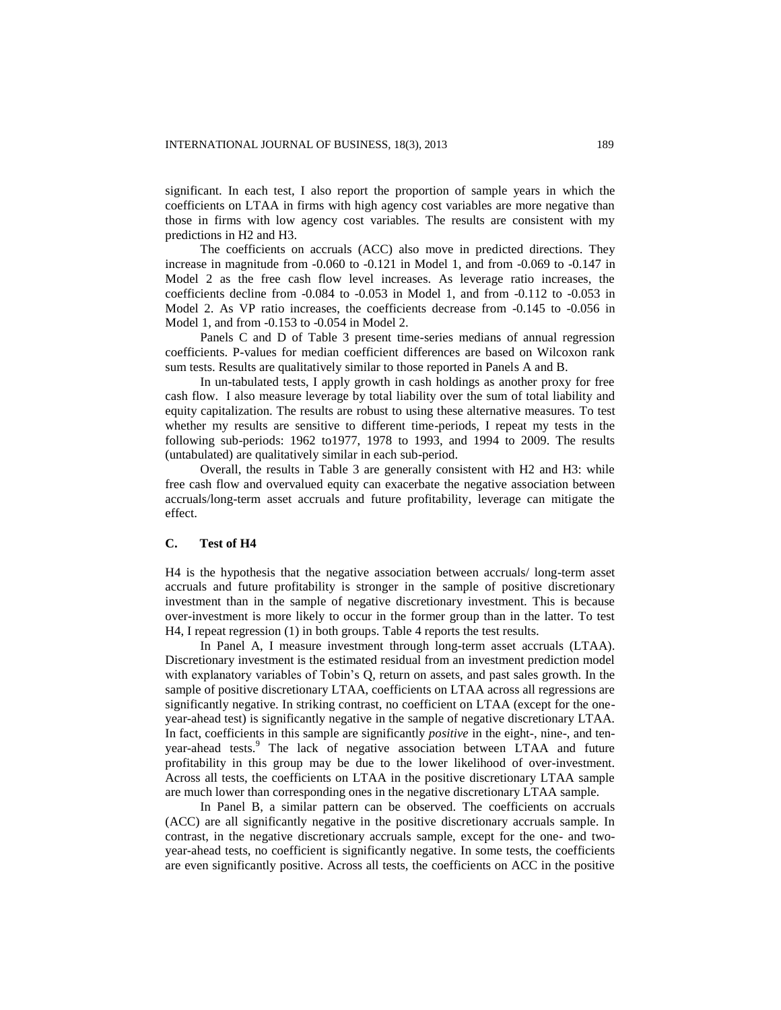significant. In each test, I also report the proportion of sample years in which the coefficients on LTAA in firms with high agency cost variables are more negative than those in firms with low agency cost variables. The results are consistent with my predictions in H2 and H3.

The coefficients on accruals (ACC) also move in predicted directions. They increase in magnitude from -0.060 to -0.121 in Model 1, and from -0.069 to -0.147 in Model 2 as the free cash flow level increases. As leverage ratio increases, the coefficients decline from -0.084 to -0.053 in Model 1, and from -0.112 to -0.053 in Model 2. As VP ratio increases, the coefficients decrease from -0.145 to -0.056 in Model 1, and from -0.153 to -0.054 in Model 2.

Panels C and D of Table 3 present time-series medians of annual regression coefficients. P-values for median coefficient differences are based on Wilcoxon rank sum tests. Results are qualitatively similar to those reported in Panels A and B.

In un-tabulated tests, I apply growth in cash holdings as another proxy for free cash flow. I also measure leverage by total liability over the sum of total liability and equity capitalization. The results are robust to using these alternative measures. To test whether my results are sensitive to different time-periods, I repeat my tests in the following sub-periods: 1962 to1977, 1978 to 1993, and 1994 to 2009. The results (untabulated) are qualitatively similar in each sub-period.

Overall, the results in Table 3 are generally consistent with H2 and H3: while free cash flow and overvalued equity can exacerbate the negative association between accruals/long-term asset accruals and future profitability, leverage can mitigate the effect.

#### **C. Test of H4**

H4 is the hypothesis that the negative association between accruals/ long-term asset accruals and future profitability is stronger in the sample of positive discretionary investment than in the sample of negative discretionary investment. This is because over-investment is more likely to occur in the former group than in the latter. To test H4, I repeat regression (1) in both groups. Table 4 reports the test results.

In Panel A, I measure investment through long-term asset accruals (LTAA). Discretionary investment is the estimated residual from an investment prediction model with explanatory variables of Tobin's Q, return on assets, and past sales growth. In the sample of positive discretionary LTAA, coefficients on LTAA across all regressions are significantly negative. In striking contrast, no coefficient on LTAA (except for the oneyear-ahead test) is significantly negative in the sample of negative discretionary LTAA. In fact, coefficients in this sample are significantly *positive* in the eight-, nine-, and tenyear-ahead tests.<sup>9</sup> The lack of negative association between LTAA and future profitability in this group may be due to the lower likelihood of over-investment. Across all tests, the coefficients on LTAA in the positive discretionary LTAA sample are much lower than corresponding ones in the negative discretionary LTAA sample.

In Panel B, a similar pattern can be observed. The coefficients on accruals (ACC) are all significantly negative in the positive discretionary accruals sample. In contrast, in the negative discretionary accruals sample, except for the one- and twoyear-ahead tests, no coefficient is significantly negative. In some tests, the coefficients are even significantly positive. Across all tests, the coefficients on ACC in the positive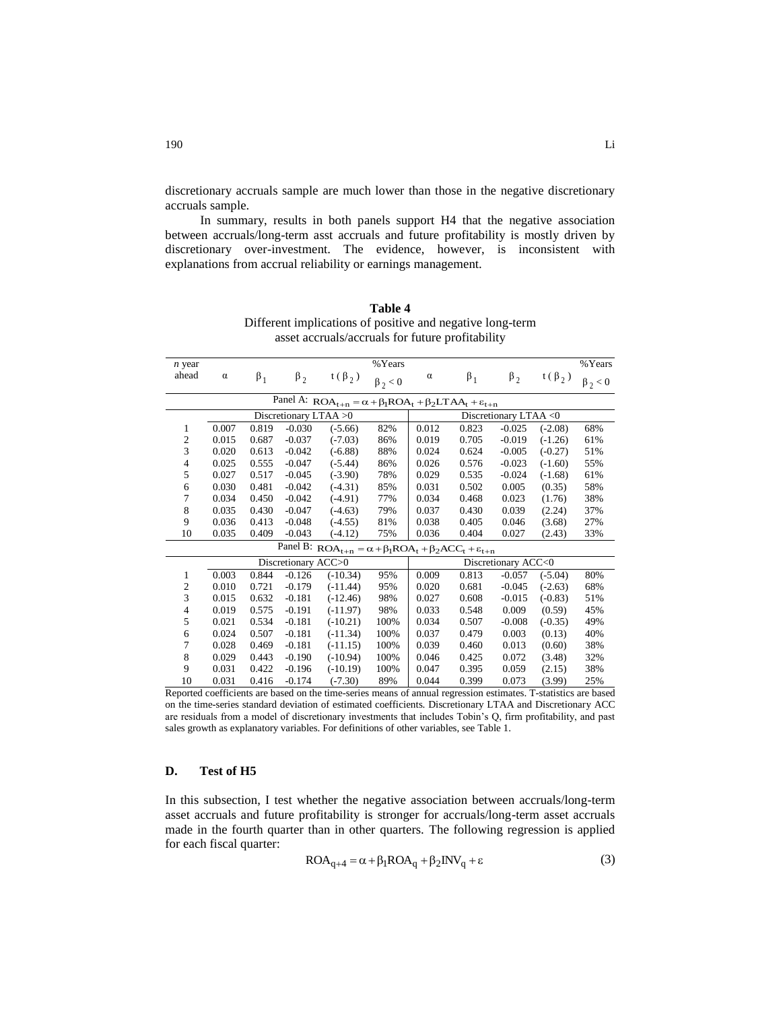discretionary accruals sample are much lower than those in the negative discretionary accruals sample.

In summary, results in both panels support H4 that the negative association between accruals/long-term asst accruals and future profitability is mostly driven by discretionary over-investment. The evidence, however, is inconsistent with explanations from accrual reliability or earnings management.

| $n$ year                                                                      |          |           |                       |                                                                                  | %Years        |          |           |                       |              | %Years        |  |  |
|-------------------------------------------------------------------------------|----------|-----------|-----------------------|----------------------------------------------------------------------------------|---------------|----------|-----------|-----------------------|--------------|---------------|--|--|
| ahead                                                                         | $\alpha$ | $\beta_1$ | $\beta_2$             | $t(\beta_2)$                                                                     | $\beta_2 < 0$ | $\alpha$ | $\beta_1$ | $\beta_2$             | $t(\beta_2)$ | $\beta_2 < 0$ |  |  |
| Panel A: $ROA_{t+n} = \alpha + \beta_1ROA_t + \beta_2LTAA_t + \epsilon_{t+n}$ |          |           |                       |                                                                                  |               |          |           |                       |              |               |  |  |
|                                                                               |          |           | Discretionary LTAA >0 |                                                                                  |               |          |           | Discretionary LTAA <0 |              |               |  |  |
| 1                                                                             | 0.007    | 0.819     | $-0.030$              | $(-5.66)$                                                                        | 82%           | 0.012    | 0.823     | $-0.025$              | $(-2.08)$    | 68%           |  |  |
| $\mathfrak{2}$                                                                | 0.015    | 0.687     | $-0.037$              | $(-7.03)$                                                                        | 86%           | 0.019    | 0.705     | $-0.019$              | $(-1.26)$    | 61%           |  |  |
| 3                                                                             | 0.020    | 0.613     | $-0.042$              | $(-6.88)$                                                                        | 88%           | 0.024    | 0.624     | $-0.005$              | $(-0.27)$    | 51%           |  |  |
| 4                                                                             | 0.025    | 0.555     | $-0.047$              | $(-5.44)$                                                                        | 86%           | 0.026    | 0.576     | $-0.023$              | $(-1.60)$    | 55%           |  |  |
| 5                                                                             | 0.027    | 0.517     | $-0.045$              | $(-3.90)$                                                                        | 78%           | 0.029    | 0.535     | $-0.024$              | $(-1.68)$    | 61%           |  |  |
| 6                                                                             | 0.030    | 0.481     | $-0.042$              | $(-4.31)$                                                                        | 85%           | 0.031    | 0.502     | 0.005                 | (0.35)       | 58%           |  |  |
| 7                                                                             | 0.034    | 0.450     | $-0.042$              | $(-4.91)$                                                                        | 77%           | 0.034    | 0.468     | 0.023                 | (1.76)       | 38%           |  |  |
| 8                                                                             | 0.035    | 0.430     | $-0.047$              | $(-4.63)$                                                                        | 79%           | 0.037    | 0.430     | 0.039                 | (2.24)       | 37%           |  |  |
| 9                                                                             | 0.036    | 0.413     | $-0.048$              | $(-4.55)$                                                                        | 81%           | 0.038    | 0.405     | 0.046                 | (3.68)       | 27%           |  |  |
| 10                                                                            | 0.035    | 0.409     | $-0.043$              | $(-4.12)$                                                                        | 75%           | 0.036    | 0.404     | 0.027                 | (2.43)       | 33%           |  |  |
|                                                                               |          |           |                       | Panel B: $ROA_{t+n} = \alpha + \beta_1ROA_t + \beta_2 ACC_t + \varepsilon_{t+n}$ |               |          |           |                       |              |               |  |  |
|                                                                               |          |           | Discretionary ACC>0   |                                                                                  |               |          |           | Discretionary ACC<0   |              |               |  |  |
| 1                                                                             | 0.003    | 0.844     | $-0.126$              | $(-10.34)$                                                                       | 95%           | 0.009    | 0.813     | $-0.057$              | $(-5.04)$    | 80%           |  |  |
| $\mathfrak{2}$                                                                | 0.010    | 0.721     | $-0.179$              | $(-11.44)$                                                                       | 95%           | 0.020    | 0.681     | $-0.045$              | $(-2.63)$    | 68%           |  |  |
| 3                                                                             | 0.015    | 0.632     | $-0.181$              | $(-12.46)$                                                                       | 98%           | 0.027    | 0.608     | $-0.015$              | $(-0.83)$    | 51%           |  |  |
| 4                                                                             | 0.019    | 0.575     | $-0.191$              | $(-11.97)$                                                                       | 98%           | 0.033    | 0.548     | 0.009                 | (0.59)       | 45%           |  |  |
| 5                                                                             | 0.021    | 0.534     | $-0.181$              | $(-10.21)$                                                                       | 100%          | 0.034    | 0.507     | $-0.008$              | $(-0.35)$    | 49%           |  |  |
| 6                                                                             | 0.024    | 0.507     | $-0.181$              | $(-11.34)$                                                                       | 100%          | 0.037    | 0.479     | 0.003                 | (0.13)       | 40%           |  |  |
| 7                                                                             | 0.028    | 0.469     | $-0.181$              | $(-11.15)$                                                                       | 100%          | 0.039    | 0.460     | 0.013                 | (0.60)       | 38%           |  |  |
| 8                                                                             | 0.029    | 0.443     | $-0.190$              | $(-10.94)$                                                                       | 100%          | 0.046    | 0.425     | 0.072                 | (3.48)       | 32%           |  |  |
| 9                                                                             | 0.031    | 0.422     | $-0.196$              | $(-10.19)$                                                                       | 100%          | 0.047    | 0.395     | 0.059                 | (2.15)       | 38%           |  |  |
| 10                                                                            | 0.031    | 0.416     | $-0.174$              | $(-7.30)$                                                                        | 89%           | 0.044    | 0.399     | 0.073                 | (3.99)       | 25%           |  |  |

**Table 4**  Different implications of positive and negative long-term asset accruals/accruals for future profitability

## **D. Test of H5**

In this subsection, I test whether the negative association between accruals/long-term asset accruals and future profitability is stronger for accruals/long-term asset accruals made in the fourth quarter than in other quarters. The following regression is applied for each fiscal quarter:

$$
ROA_{q+4} = \alpha + \beta_1 ROA_q + \beta_2 NV_q + \varepsilon
$$
 (3)

Reported coefficients are based on the time-series means of annual regression estimates. T-statistics are based on the time-series standard deviation of estimated coefficients. Discretionary LTAA and Discretionary ACC are residuals from a model of discretionary investments that includes Tobin's Q, firm profitability, and past sales growth as explanatory variables. For definitions of other variables, see Table 1.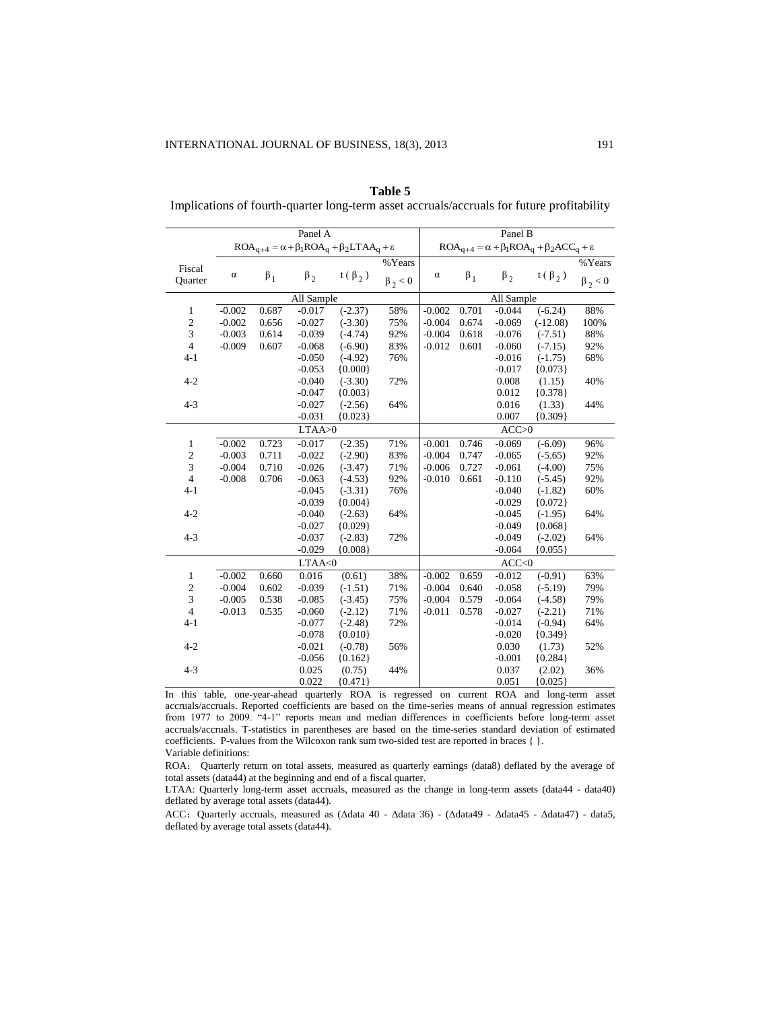|                  |          |           | Panel A    |                                                                   |               | Panel B                                                            |           |            |              |               |  |  |  |
|------------------|----------|-----------|------------|-------------------------------------------------------------------|---------------|--------------------------------------------------------------------|-----------|------------|--------------|---------------|--|--|--|
|                  |          |           |            | $ROA_{q+4} = \alpha + \beta_1ROA_q + \beta_2LTAA_q + \varepsilon$ |               | $ROA_{q+4} = \alpha + \beta_1 ROA_q + \beta_2 ACC_q + \varepsilon$ |           |            |              |               |  |  |  |
| Fiscal           |          |           |            |                                                                   | %Years        |                                                                    |           |            |              | %Years        |  |  |  |
| Quarter          | $\alpha$ | $\beta_1$ | $\beta_2$  | $t(\beta_2)$                                                      | $\beta_2 < 0$ | $\alpha$                                                           | $\beta_1$ | $\beta_2$  | $t(\beta_2)$ | $\beta_2 < 0$ |  |  |  |
|                  |          |           | All Sample |                                                                   |               |                                                                    |           | All Sample |              |               |  |  |  |
| 1                | $-0.002$ | 0.687     | $-0.017$   | $(-2.37)$                                                         | 58%           | $-0.002$                                                           | 0.701     | $-0.044$   | $(-6.24)$    | 88%           |  |  |  |
| $\sqrt{2}$       | $-0.002$ | 0.656     | $-0.027$   | $(-3.30)$                                                         | 75%           | $-0.004$                                                           | 0.674     | $-0.069$   | $(-12.08)$   | 100%          |  |  |  |
| $\sqrt{3}$       | $-0.003$ | 0.614     | $-0.039$   | $(-4.74)$                                                         | 92%           | $-0.004$                                                           | 0.618     | $-0.076$   | $(-7.51)$    | 88%           |  |  |  |
| $\overline{4}$   | $-0.009$ | 0.607     | $-0.068$   | $(-6.90)$                                                         | 83%           | $-0.012$                                                           | 0.601     | $-0.060$   | $(-7.15)$    | 92%           |  |  |  |
| $4 - 1$          |          |           | $-0.050$   | $(-4.92)$                                                         | 76%           |                                                                    |           | $-0.016$   | $(-1.75)$    | 68%           |  |  |  |
|                  |          |           | $-0.053$   | ${0.000}$                                                         |               |                                                                    |           | $-0.017$   | ${0.073}$    |               |  |  |  |
| $4 - 2$          |          |           | $-0.040$   | $(-3.30)$                                                         | 72%           |                                                                    |           | 0.008      | (1.15)       | 40%           |  |  |  |
|                  |          |           | $-0.047$   | ${0.003}$                                                         |               |                                                                    |           | 0.012      | ${0.378}$    |               |  |  |  |
| $4 - 3$          |          |           | $-0.027$   | $(-2.56)$                                                         | 64%           |                                                                    |           | 0.016      | (1.33)       | 44%           |  |  |  |
|                  |          |           | $-0.031$   | ${0.023}$                                                         |               |                                                                    |           | 0.007      | ${0.309}$    |               |  |  |  |
|                  |          |           | LTAA>0     |                                                                   |               | ACC>0                                                              |           |            |              |               |  |  |  |
| 1                | $-0.002$ | 0.723     | $-0.017$   | $(-2.35)$                                                         | 71%           | $-0.001$                                                           | 0.746     | $-0.069$   | $(-6.09)$    | 96%           |  |  |  |
| $\boldsymbol{2}$ | $-0.003$ | 0.711     | $-0.022$   | $(-2.90)$                                                         | 83%           | $-0.004$                                                           | 0.747     | $-0.065$   | $(-5.65)$    | 92%           |  |  |  |
| 3                | $-0.004$ | 0.710     | $-0.026$   | $(-3.47)$                                                         | 71%           | $-0.006$                                                           | 0.727     | $-0.061$   | $(-4.00)$    | 75%           |  |  |  |
| $\overline{4}$   | $-0.008$ | 0.706     | $-0.063$   | $(-4.53)$                                                         | 92%           | $-0.010$                                                           | 0.661     | $-0.110$   | $(-5.45)$    | 92%           |  |  |  |
| $4 - 1$          |          |           | $-0.045$   | $(-3.31)$                                                         | 76%           |                                                                    |           | $-0.040$   | $(-1.82)$    | 60%           |  |  |  |
|                  |          |           | $-0.039$   | ${0.004}$                                                         |               |                                                                    |           | $-0.029$   | ${0.072}$    |               |  |  |  |
| $4 - 2$          |          |           | $-0.040$   | $(-2.63)$                                                         | 64%           |                                                                    |           | $-0.045$   | $(-1.95)$    | 64%           |  |  |  |
|                  |          |           | $-0.027$   | ${0.029}$                                                         |               |                                                                    |           | $-0.049$   | ${0.068}$    |               |  |  |  |
| $4 - 3$          |          |           | $-0.037$   | $(-2.83)$                                                         | 72%           |                                                                    |           | $-0.049$   | $(-2.02)$    | 64%           |  |  |  |
|                  |          |           | $-0.029$   | ${0.008}$                                                         |               |                                                                    |           | $-0.064$   | ${0.055}$    |               |  |  |  |
|                  |          |           | LTAA<0     |                                                                   |               |                                                                    |           | ACC<0      |              |               |  |  |  |
| $\mathbf{1}$     | $-0.002$ | 0.660     | 0.016      | (0.61)                                                            | 38%           | $-0.002$                                                           | 0.659     | $-0.012$   | $(-0.91)$    | 63%           |  |  |  |
| $\sqrt{2}$       | $-0.004$ | 0.602     | $-0.039$   | $(-1.51)$                                                         | 71%           | $-0.004$                                                           | 0.640     | $-0.058$   | $(-5.19)$    | 79%           |  |  |  |
| 3                | $-0.005$ | 0.538     | $-0.085$   | $(-3.45)$                                                         | 75%           | $-0.004$                                                           | 0.579     | $-0.064$   | $(-4.58)$    | 79%           |  |  |  |
| $\overline{4}$   | $-0.013$ | 0.535     | $-0.060$   | $(-2.12)$                                                         | 71%           | $-0.011$                                                           | 0.578     | $-0.027$   | $(-2.21)$    | 71%           |  |  |  |
| $4 - 1$          |          |           | $-0.077$   | $(-2.48)$                                                         | 72%           |                                                                    |           | $-0.014$   | $(-0.94)$    | 64%           |  |  |  |
|                  |          |           | $-0.078$   | ${0.010}$                                                         |               |                                                                    |           | $-0.020$   | ${0.349}$    |               |  |  |  |
| $4 - 2$          |          |           | $-0.021$   | $(-0.78)$                                                         | 56%           |                                                                    |           | 0.030      | (1.73)       | 52%           |  |  |  |
|                  |          |           | $-0.056$   | ${0.162}$                                                         |               |                                                                    |           | $-0.001$   | ${0.284}$    |               |  |  |  |
| $4 - 3$          |          |           | 0.025      | (0.75)                                                            | 44%           |                                                                    |           | 0.037      | (2.02)       | 36%           |  |  |  |
|                  |          |           | 0.022      | ${0.471}$                                                         |               |                                                                    |           | 0.051      | ${0.025}$    |               |  |  |  |

**Table 5**  Implications of fourth-quarter long-term asset accruals/accruals for future profitability

In this table, one-year-ahead quarterly ROA is regressed on current ROA and long-term asset accruals/accruals. Reported coefficients are based on the time-series means of annual regression estimates from 1977 to 2009. "4-1" reports mean and median differences in coefficients before long-term asset accruals/accruals. T-statistics in parentheses are based on the time-series standard deviation of estimated coefficients. P-values from the Wilcoxon rank sum two-sided test are reported in braces { }. Variable definitions:

ROA: Quarterly return on total assets, measured as quarterly earnings (data8) deflated by the average of total assets (data44) at the beginning and end of a fiscal quarter.

LTAA: Quarterly long-term asset accruals, measured as the change in long-term assets (data44 - data40) deflated by average total assets (data44).

ACC:Quarterly accruals, measured as (Δdata 40 - Δdata 36) - (Δdata49 - Δdata45 - Δdata47) - data5, deflated by average total assets (data44).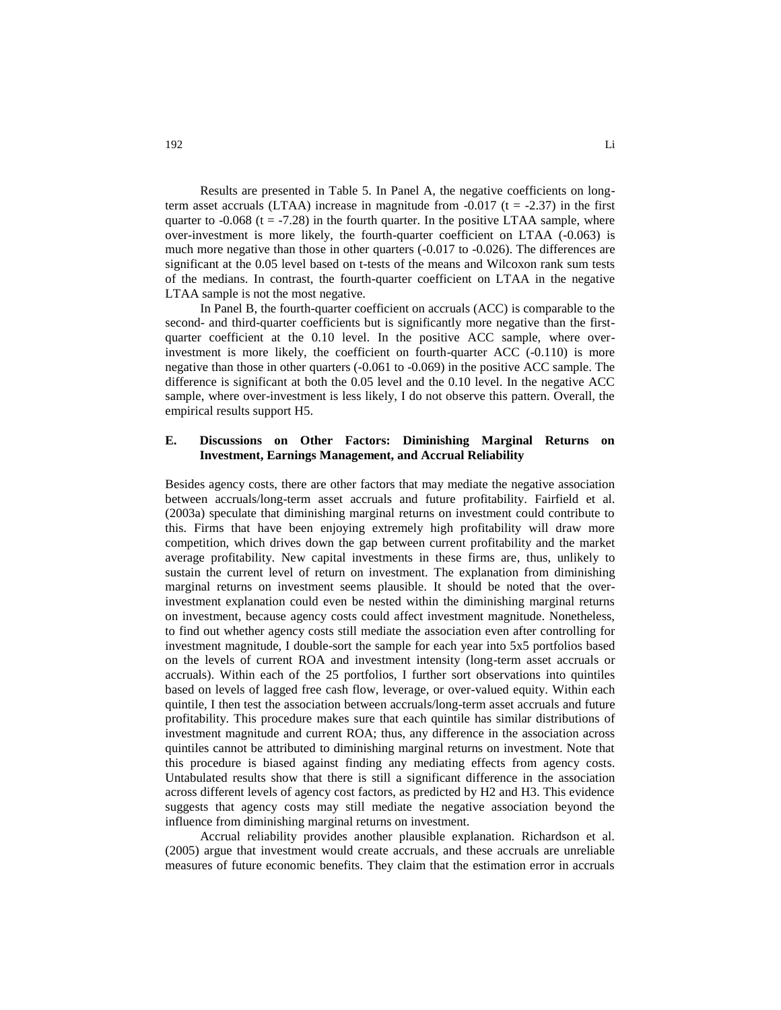Results are presented in Table 5. In Panel A, the negative coefficients on longterm asset accruals (LTAA) increase in magnitude from  $-0.017$  (t =  $-2.37$ ) in the first quarter to  $-0.068$  (t =  $-7.28$ ) in the fourth quarter. In the positive LTAA sample, where over-investment is more likely, the fourth-quarter coefficient on LTAA (-0.063) is much more negative than those in other quarters (-0.017 to -0.026). The differences are significant at the 0.05 level based on t-tests of the means and Wilcoxon rank sum tests of the medians. In contrast, the fourth-quarter coefficient on LTAA in the negative LTAA sample is not the most negative.

In Panel B, the fourth-quarter coefficient on accruals (ACC) is comparable to the second- and third-quarter coefficients but is significantly more negative than the firstquarter coefficient at the 0.10 level. In the positive ACC sample, where overinvestment is more likely, the coefficient on fourth-quarter ACC (-0.110) is more negative than those in other quarters (-0.061 to -0.069) in the positive ACC sample. The difference is significant at both the 0.05 level and the 0.10 level. In the negative ACC sample, where over-investment is less likely, I do not observe this pattern. Overall, the empirical results support H5.

#### **E. Discussions on Other Factors: Diminishing Marginal Returns on Investment, Earnings Management, and Accrual Reliability**

Besides agency costs, there are other factors that may mediate the negative association between accruals/long-term asset accruals and future profitability. Fairfield et al. (2003a) speculate that diminishing marginal returns on investment could contribute to this. Firms that have been enjoying extremely high profitability will draw more competition, which drives down the gap between current profitability and the market average profitability. New capital investments in these firms are, thus, unlikely to sustain the current level of return on investment. The explanation from diminishing marginal returns on investment seems plausible. It should be noted that the overinvestment explanation could even be nested within the diminishing marginal returns on investment, because agency costs could affect investment magnitude. Nonetheless, to find out whether agency costs still mediate the association even after controlling for investment magnitude, I double-sort the sample for each year into 5x5 portfolios based on the levels of current ROA and investment intensity (long-term asset accruals or accruals). Within each of the 25 portfolios, I further sort observations into quintiles based on levels of lagged free cash flow, leverage, or over-valued equity. Within each quintile, I then test the association between accruals/long-term asset accruals and future profitability. This procedure makes sure that each quintile has similar distributions of investment magnitude and current ROA; thus, any difference in the association across quintiles cannot be attributed to diminishing marginal returns on investment. Note that this procedure is biased against finding any mediating effects from agency costs. Untabulated results show that there is still a significant difference in the association across different levels of agency cost factors, as predicted by H2 and H3. This evidence suggests that agency costs may still mediate the negative association beyond the influence from diminishing marginal returns on investment.

Accrual reliability provides another plausible explanation. Richardson et al. (2005) argue that investment would create accruals, and these accruals are unreliable measures of future economic benefits. They claim that the estimation error in accruals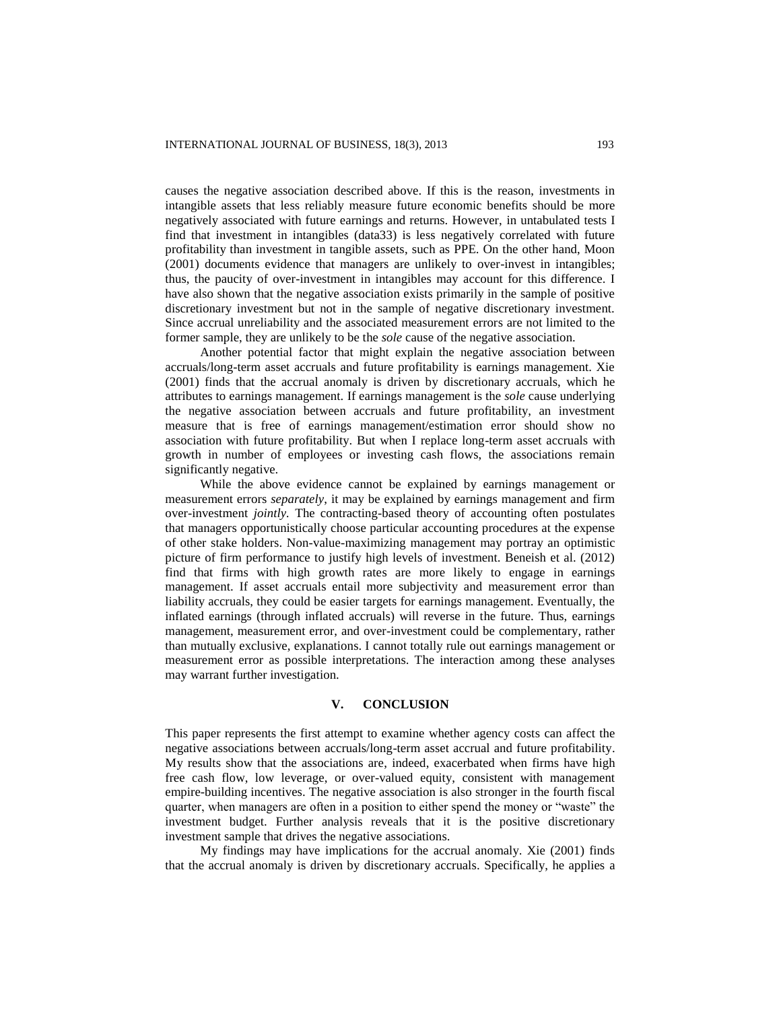causes the negative association described above. If this is the reason, investments in intangible assets that less reliably measure future economic benefits should be more negatively associated with future earnings and returns. However, in untabulated tests I find that investment in intangibles (data33) is less negatively correlated with future profitability than investment in tangible assets, such as PPE. On the other hand, Moon (2001) documents evidence that managers are unlikely to over-invest in intangibles; thus, the paucity of over-investment in intangibles may account for this difference. I have also shown that the negative association exists primarily in the sample of positive discretionary investment but not in the sample of negative discretionary investment. Since accrual unreliability and the associated measurement errors are not limited to the former sample, they are unlikely to be the *sole* cause of the negative association.

Another potential factor that might explain the negative association between accruals/long-term asset accruals and future profitability is earnings management. Xie (2001) finds that the accrual anomaly is driven by discretionary accruals, which he attributes to earnings management. If earnings management is the *sole* cause underlying the negative association between accruals and future profitability, an investment measure that is free of earnings management/estimation error should show no association with future profitability. But when I replace long-term asset accruals with growth in number of employees or investing cash flows, the associations remain significantly negative.

While the above evidence cannot be explained by earnings management or measurement errors *separately*, it may be explained by earnings management and firm over-investment *jointly.* The contracting-based theory of accounting often postulates that managers opportunistically choose particular accounting procedures at the expense of other stake holders. Non-value-maximizing management may portray an optimistic picture of firm performance to justify high levels of investment. Beneish et al. (2012) find that firms with high growth rates are more likely to engage in earnings management. If asset accruals entail more subjectivity and measurement error than liability accruals, they could be easier targets for earnings management. Eventually, the inflated earnings (through inflated accruals) will reverse in the future. Thus, earnings management, measurement error, and over-investment could be complementary, rather than mutually exclusive, explanations. I cannot totally rule out earnings management or measurement error as possible interpretations. The interaction among these analyses may warrant further investigation.

#### **V. CONCLUSION**

This paper represents the first attempt to examine whether agency costs can affect the negative associations between accruals/long-term asset accrual and future profitability. My results show that the associations are, indeed, exacerbated when firms have high free cash flow, low leverage, or over-valued equity, consistent with management empire-building incentives. The negative association is also stronger in the fourth fiscal quarter, when managers are often in a position to either spend the money or "waste" the investment budget. Further analysis reveals that it is the positive discretionary investment sample that drives the negative associations.

My findings may have implications for the accrual anomaly. Xie (2001) finds that the accrual anomaly is driven by discretionary accruals. Specifically, he applies a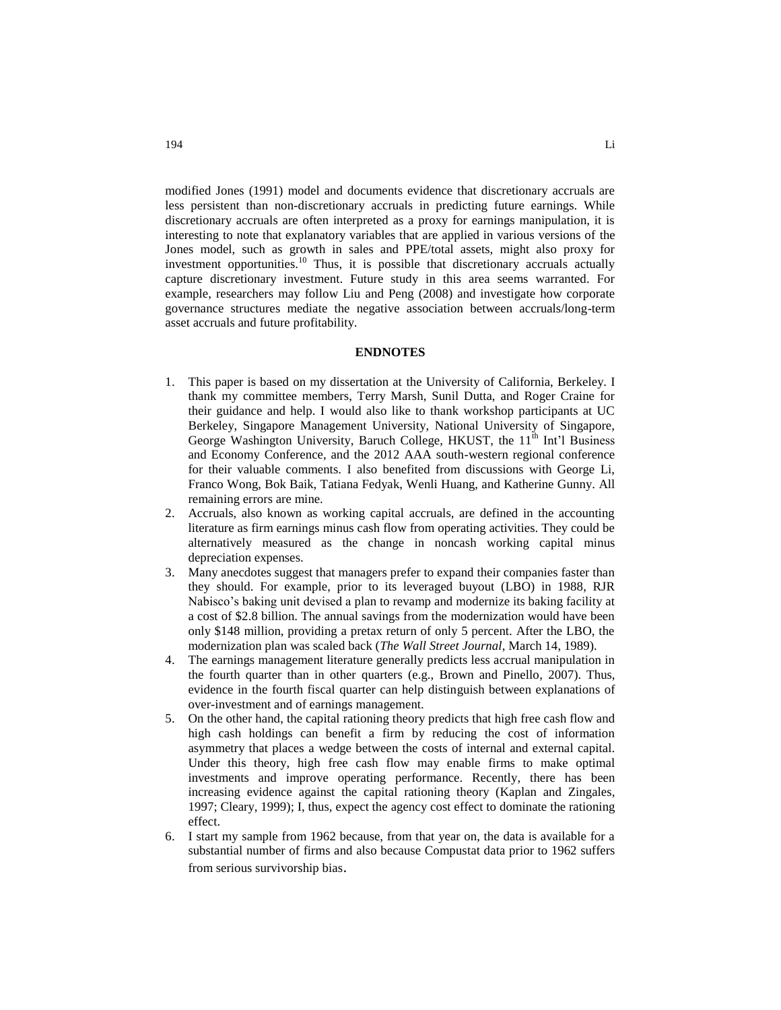modified Jones (1991) model and documents evidence that discretionary accruals are less persistent than non-discretionary accruals in predicting future earnings. While discretionary accruals are often interpreted as a proxy for earnings manipulation, it is interesting to note that explanatory variables that are applied in various versions of the Jones model, such as growth in sales and PPE/total assets, might also proxy for investment opportunities.<sup>10</sup> Thus, it is possible that discretionary accruals actually capture discretionary investment. Future study in this area seems warranted. For example, researchers may follow Liu and Peng (2008) and investigate how corporate governance structures mediate the negative association between accruals/long-term asset accruals and future profitability.

#### **ENDNOTES**

- 1. This paper is based on my dissertation at the University of California, Berkeley. I thank my committee members, Terry Marsh, Sunil Dutta, and Roger Craine for their guidance and help. I would also like to thank workshop participants at UC Berkeley, Singapore Management University, National University of Singapore, George Washington University, Baruch College, HKUST, the 11<sup>th</sup> Int'l Business and Economy Conference, and the 2012 AAA south-western regional conference for their valuable comments. I also benefited from discussions with George Li, Franco Wong, Bok Baik, Tatiana Fedyak, Wenli Huang, and Katherine Gunny. All remaining errors are mine.
- 2. Accruals, also known as working capital accruals, are defined in the accounting literature as firm earnings minus cash flow from operating activities. They could be alternatively measured as the change in noncash working capital minus depreciation expenses.
- 3. Many anecdotes suggest that managers prefer to expand their companies faster than they should. For example, prior to its leveraged buyout (LBO) in 1988, RJR Nabisco's baking unit devised a plan to revamp and modernize its baking facility at a cost of \$2.8 billion. The annual savings from the modernization would have been only \$148 million, providing a pretax return of only 5 percent. After the LBO, the modernization plan was scaled back (*The Wall Street Journal*, March 14, 1989).
- 4. The earnings management literature generally predicts less accrual manipulation in the fourth quarter than in other quarters (e.g., Brown and Pinello, 2007). Thus, evidence in the fourth fiscal quarter can help distinguish between explanations of over-investment and of earnings management.
- 5. On the other hand, the capital rationing theory predicts that high free cash flow and high cash holdings can benefit a firm by reducing the cost of information asymmetry that places a wedge between the costs of internal and external capital. Under this theory, high free cash flow may enable firms to make optimal investments and improve operating performance. Recently, there has been increasing evidence against the capital rationing theory (Kaplan and Zingales, 1997; Cleary, 1999); I, thus, expect the agency cost effect to dominate the rationing effect.
- 6. I start my sample from 1962 because, from that year on, the data is available for a substantial number of firms and also because Compustat data prior to 1962 suffers from serious survivorship bias.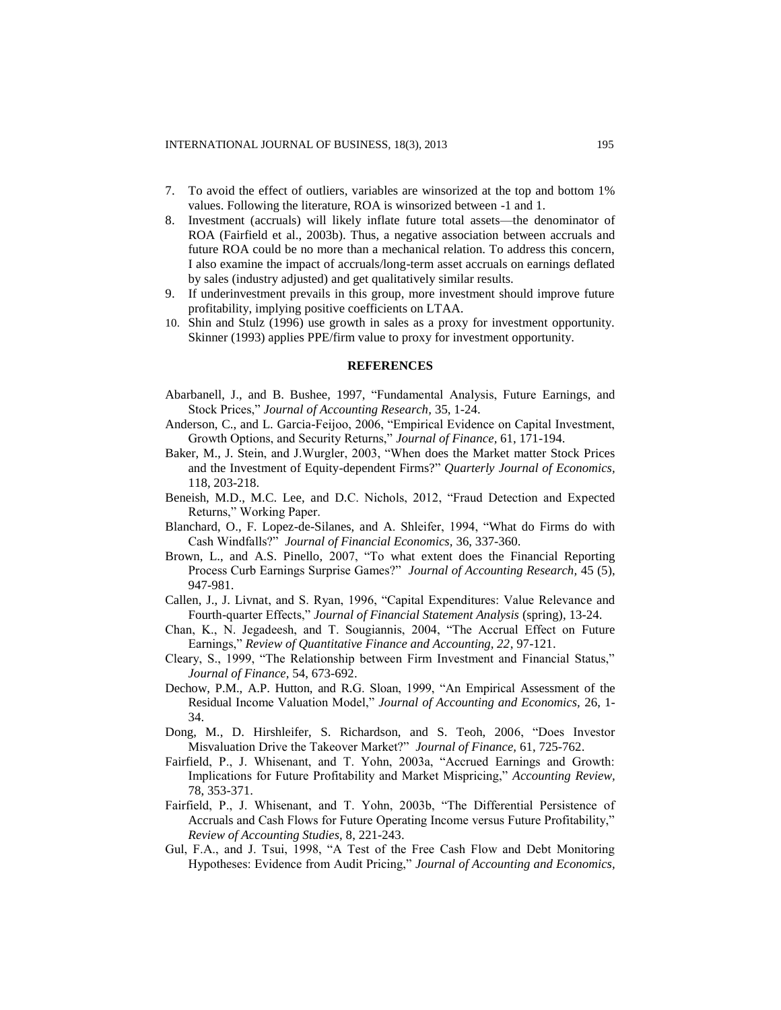- 7. To avoid the effect of outliers, variables are winsorized at the top and bottom 1% values. Following the literature, ROA is winsorized between -1 and 1.
- 8. Investment (accruals) will likely inflate future total assets—the denominator of ROA (Fairfield et al., 2003b). Thus, a negative association between accruals and future ROA could be no more than a mechanical relation. To address this concern, I also examine the impact of accruals/long-term asset accruals on earnings deflated by sales (industry adjusted) and get qualitatively similar results.
- 9. If underinvestment prevails in this group, more investment should improve future profitability, implying positive coefficients on LTAA.
- 10. Shin and Stulz (1996) use growth in sales as a proxy for investment opportunity. Skinner (1993) applies PPE/firm value to proxy for investment opportunity.

#### **REFERENCES**

- Abarbanell, J., and B. Bushee, 1997, "Fundamental Analysis, Future Earnings, and Stock Prices," *Journal of Accounting Research,* 35, 1-24.
- Anderson, C., and L. Garcia-Feijoo, 2006, "Empirical Evidence on Capital Investment, Growth Options, and Security Returns," *Journal of Finance,* 61, 171-194.
- Baker, M., J. Stein, and J.Wurgler, 2003, "When does the Market matter Stock Prices and the Investment of Equity-dependent Firms?" *Quarterly Journal of Economics,* 118, 203-218.
- Beneish, M.D., M.C. Lee, and D.C. Nichols, 2012, "Fraud Detection and Expected Returns," Working Paper.
- Blanchard, O., F. Lopez-de-Silanes, and A. Shleifer, 1994, "What do Firms do with Cash Windfalls?" *Journal of Financial Economics,* 36, 337-360.
- Brown, L., and A.S. Pinello, 2007, "To what extent does the Financial Reporting Process Curb Earnings Surprise Games?" *Journal of Accounting Research,* 45 (5), 947-981.
- Callen, J., J. Livnat, and S. Ryan, 1996, "Capital Expenditures: Value Relevance and Fourth-quarter Effects," *Journal of Financial Statement Analysis* (spring), 13-24.
- Chan, K., N. Jegadeesh, and T. Sougiannis, 2004, "The Accrual Effect on Future Earnings," *Review of Quantitative Finance and Accounting, 22*, 97-121.
- Cleary, S., 1999, "The Relationship between Firm Investment and Financial Status," *Journal of Finance,* 54, 673-692.
- Dechow, P.M., A.P. Hutton, and R.G. Sloan, 1999, "An Empirical Assessment of the Residual Income Valuation Model," *Journal of Accounting and Economics,* 26, 1- 34.
- Dong, M., D. Hirshleifer, S. Richardson, and S. Teoh, 2006, "Does Investor Misvaluation Drive the Takeover Market?" *Journal of Finance,* 61, 725-762.
- Fairfield, P., J. Whisenant, and T. Yohn, 2003a, "Accrued Earnings and Growth: Implications for Future Profitability and Market Mispricing," *Accounting Review,* 78, 353-371.
- Fairfield, P., J. Whisenant, and T. Yohn, 2003b, "The Differential Persistence of Accruals and Cash Flows for Future Operating Income versus Future Profitability," *Review of Accounting Studies,* 8, 221-243.
- Gul, F.A., and J. Tsui, 1998, "A Test of the Free Cash Flow and Debt Monitoring Hypotheses: Evidence from Audit Pricing," *Journal of Accounting and Economics,*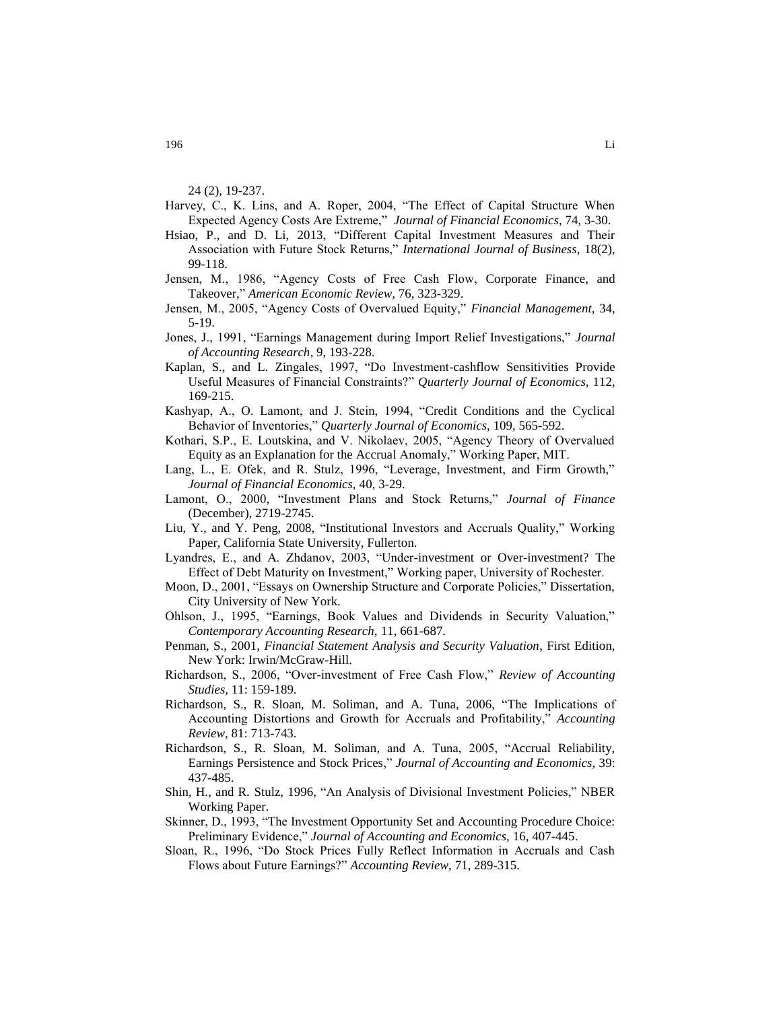24 (2), 19-237.

- Harvey, C., K. Lins, and A. Roper, 2004, "The Effect of Capital Structure When Expected Agency Costs Are Extreme," *[Journal of Financial Economics,](http://ideas.repec.org/s/eee/jfinec.html)* 74, 3-30.
- Hsiao, P., and D. Li, 2013, "Different Capital Investment Measures and Their Association with Future Stock Returns," *International Journal of Business*, 18(2), 99-118.
- Jensen, M., 1986, "Agency Costs of Free Cash Flow, Corporate Finance, and Takeover," *American Economic Review,* 76, 323-329.
- Jensen, M., 2005, "Agency Costs of Overvalued Equity," *Financial Management*, 34, 5-19.
- Jones, J., 1991, "Earnings Management during Import Relief Investigations," *Journal of Accounting Research*, 9, 193-228.
- Kaplan, S., and L. Zingales, 1997, "Do Investment-cashflow Sensitivities Provide Useful Measures of Financial Constraints?" *Quarterly Journal of Economics,* 112, 169-215.
- Kashyap, A., O. Lamont, and J. Stein, 1994, "Credit Conditions and the Cyclical Behavior of Inventories," *Quarterly Journal of Economics,* 109, 565-592.
- Kothari, S.P., E. Loutskina, and V. Nikolaev, 2005, "Agency Theory of Overvalued Equity as an Explanation for the Accrual Anomaly," Working Paper, MIT.
- Lang, L., E. Ofek, and R. Stulz, 1996, "Leverage, Investment, and Firm Growth," *Journal of Financial Economics,* 40, 3-29.
- Lamont, O., 2000, "Investment Plans and Stock Returns," *Journal of Finance*  (December), 2719-2745.
- Liu, Y., and Y. Peng, 2008, "Institutional Investors and Accruals Quality," Working Paper, California State University, Fullerton.
- Lyandres, E., and A. Zhdanov, 2003, "Under-investment or Over-investment? The Effect of Debt Maturity on Investment," Working paper, University of Rochester.
- Moon, D., 2001, "Essays on Ownership Structure and Corporate Policies," Dissertation, City University of New York.
- Ohlson, J., 1995, "Earnings, Book Values and Dividends in Security Valuation," *Contemporary Accounting Research,* 11, 661-687.
- Penman, S., 2001, *Financial Statement Analysis and Security Valuation*, First Edition, New York: Irwin/McGraw-Hill.
- Richardson, S., 2006, "Over-investment of Free Cash Flow," *Review of Accounting Studies,* 11: 159-189.
- Richardson, S., R. Sloan, M. Soliman, and A. Tuna, 2006, "The Implications of Accounting Distortions and Growth for Accruals and Profitability," *Accounting Review,* 81: 713-743.
- Richardson, S., R. Sloan, M. Soliman, and A. Tuna, 2005, ["Accrual Reliability,](http://credit.wharton.upenn.edu/faculty/richardson/RSST.pdf)  [Earnings Persistence and Stock Prices,](http://credit.wharton.upenn.edu/faculty/richardson/RSST.pdf)" *Journal of Accounting and Economics,* 39: 437-485.
- Shin, H., and R. Stulz, 1996, "An Analysis of Divisional Investment Policies," NBER Working Paper.
- Skinner, D., 1993, "The Investment Opportunity Set and Accounting Procedure Choice: Preliminary Evidence," *Journal of Accounting and Economics,* 16, 407-445.
- Sloan, R., 1996, "Do Stock Prices Fully Reflect Information in Accruals and Cash Flows about Future Earnings?" *Accounting Review,* 71, 289-315.